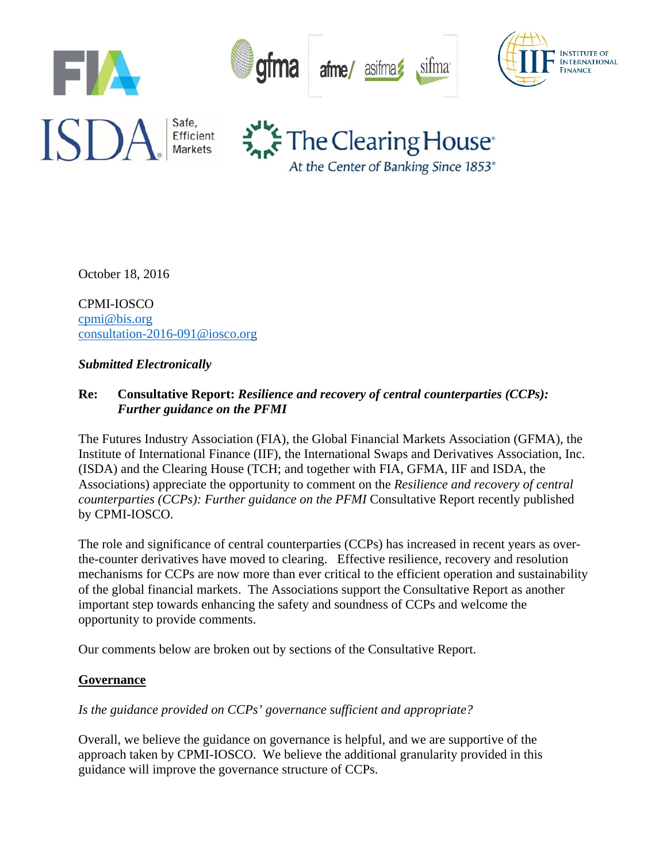

October 18, 2016

CPMI-IOSCO cpmi@bis.org consultation-2016-091@iosco.org

#### *Submitted Electronically*

### **Re: Consultative Report:** *Resilience and recovery of central counterparties (CCPs): Further guidance on the PFMI*

The Futures Industry Association (FIA), the Global Financial Markets Association (GFMA), the Institute of International Finance (IIF), the International Swaps and Derivatives Association, Inc. (ISDA) and the Clearing House (TCH; and together with FIA, GFMA, IIF and ISDA, the Associations) appreciate the opportunity to comment on the *Resilience and recovery of central counterparties (CCPs): Further guidance on the PFMI* Consultative Report recently published by CPMI-IOSCO.

The role and significance of central counterparties (CCPs) has increased in recent years as overthe-counter derivatives have moved to clearing. Effective resilience, recovery and resolution mechanisms for CCPs are now more than ever critical to the efficient operation and sustainability of the global financial markets. The Associations support the Consultative Report as another important step towards enhancing the safety and soundness of CCPs and welcome the opportunity to provide comments.

Our comments below are broken out by sections of the Consultative Report.

### **Governance**

### *Is the guidance provided on CCPs' governance sufficient and appropriate?*

Overall, we believe the guidance on governance is helpful, and we are supportive of the approach taken by CPMI-IOSCO. We believe the additional granularity provided in this guidance will improve the governance structure of CCPs.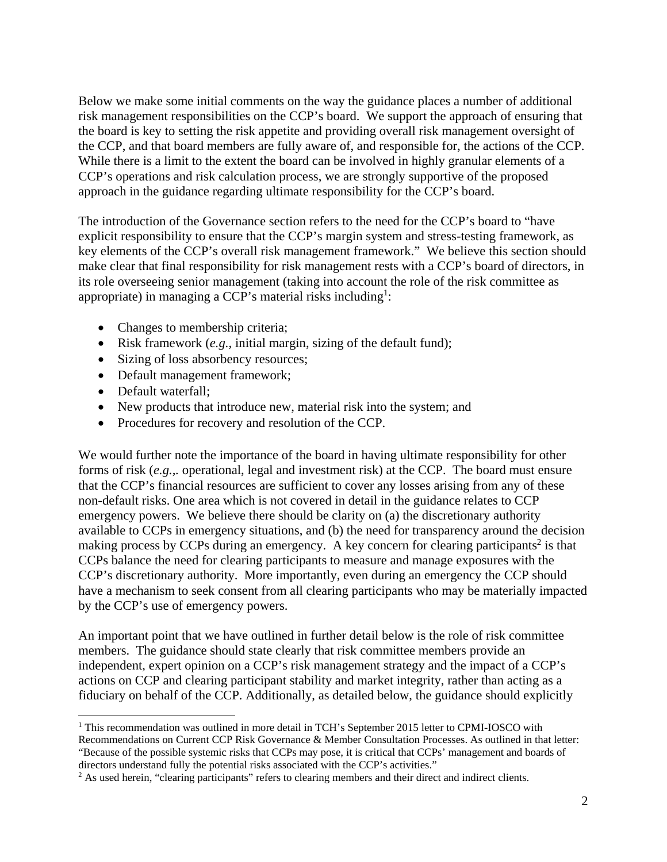Below we make some initial comments on the way the guidance places a number of additional risk management responsibilities on the CCP's board. We support the approach of ensuring that the board is key to setting the risk appetite and providing overall risk management oversight of the CCP, and that board members are fully aware of, and responsible for, the actions of the CCP. While there is a limit to the extent the board can be involved in highly granular elements of a CCP's operations and risk calculation process, we are strongly supportive of the proposed approach in the guidance regarding ultimate responsibility for the CCP's board.

The introduction of the Governance section refers to the need for the CCP's board to "have explicit responsibility to ensure that the CCP's margin system and stress-testing framework, as key elements of the CCP's overall risk management framework." We believe this section should make clear that final responsibility for risk management rests with a CCP's board of directors, in its role overseeing senior management (taking into account the role of the risk committee as appropriate) in managing a CCP's material risks including<sup>1</sup>:

- Changes to membership criteria;
- Risk framework (*e.g.,* initial margin, sizing of the default fund);
- Sizing of loss absorbency resources;
- Default management framework;
- Default waterfall:

- New products that introduce new, material risk into the system; and
- Procedures for recovery and resolution of the CCP.

We would further note the importance of the board in having ultimate responsibility for other forms of risk (*e.g.,.* operational, legal and investment risk) at the CCP. The board must ensure that the CCP's financial resources are sufficient to cover any losses arising from any of these non-default risks. One area which is not covered in detail in the guidance relates to CCP emergency powers. We believe there should be clarity on (a) the discretionary authority available to CCPs in emergency situations, and (b) the need for transparency around the decision making process by CCPs during an emergency. A key concern for clearing participants<sup>2</sup> is that CCPs balance the need for clearing participants to measure and manage exposures with the CCP's discretionary authority. More importantly, even during an emergency the CCP should have a mechanism to seek consent from all clearing participants who may be materially impacted by the CCP's use of emergency powers.

An important point that we have outlined in further detail below is the role of risk committee members. The guidance should state clearly that risk committee members provide an independent, expert opinion on a CCP's risk management strategy and the impact of a CCP's actions on CCP and clearing participant stability and market integrity, rather than acting as a fiduciary on behalf of the CCP. Additionally, as detailed below, the guidance should explicitly

<sup>&</sup>lt;sup>1</sup> This recommendation was outlined in more detail in TCH's September 2015 letter to CPMI-IOSCO with Recommendations on Current CCP Risk Governance & Member Consultation Processes. As outlined in that letter: "Because of the possible systemic risks that CCPs may pose, it is critical that CCPs' management and boards of directors understand fully the potential risks associated with the CCP's activities." 2

<sup>&</sup>lt;sup>2</sup> As used herein, "clearing participants" refers to clearing members and their direct and indirect clients.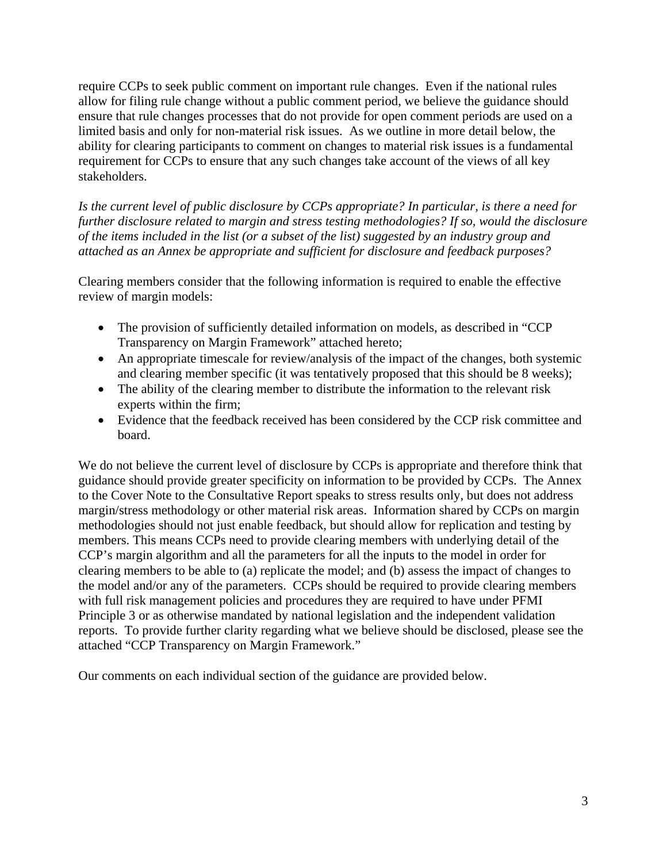require CCPs to seek public comment on important rule changes. Even if the national rules allow for filing rule change without a public comment period, we believe the guidance should ensure that rule changes processes that do not provide for open comment periods are used on a limited basis and only for non-material risk issues. As we outline in more detail below, the ability for clearing participants to comment on changes to material risk issues is a fundamental requirement for CCPs to ensure that any such changes take account of the views of all key stakeholders.

*Is the current level of public disclosure by CCPs appropriate? In particular, is there a need for further disclosure related to margin and stress testing methodologies? If so, would the disclosure of the items included in the list (or a subset of the list) suggested by an industry group and attached as an Annex be appropriate and sufficient for disclosure and feedback purposes?* 

Clearing members consider that the following information is required to enable the effective review of margin models:

- The provision of sufficiently detailed information on models, as described in "CCP Transparency on Margin Framework" attached hereto;
- An appropriate timescale for review/analysis of the impact of the changes, both systemic and clearing member specific (it was tentatively proposed that this should be 8 weeks);
- The ability of the clearing member to distribute the information to the relevant risk experts within the firm;
- Evidence that the feedback received has been considered by the CCP risk committee and board.

We do not believe the current level of disclosure by CCPs is appropriate and therefore think that guidance should provide greater specificity on information to be provided by CCPs. The Annex to the Cover Note to the Consultative Report speaks to stress results only, but does not address margin/stress methodology or other material risk areas. Information shared by CCPs on margin methodologies should not just enable feedback, but should allow for replication and testing by members. This means CCPs need to provide clearing members with underlying detail of the CCP's margin algorithm and all the parameters for all the inputs to the model in order for clearing members to be able to (a) replicate the model; and (b) assess the impact of changes to the model and/or any of the parameters. CCPs should be required to provide clearing members with full risk management policies and procedures they are required to have under PFMI Principle 3 or as otherwise mandated by national legislation and the independent validation reports. To provide further clarity regarding what we believe should be disclosed, please see the attached "CCP Transparency on Margin Framework."

Our comments on each individual section of the guidance are provided below.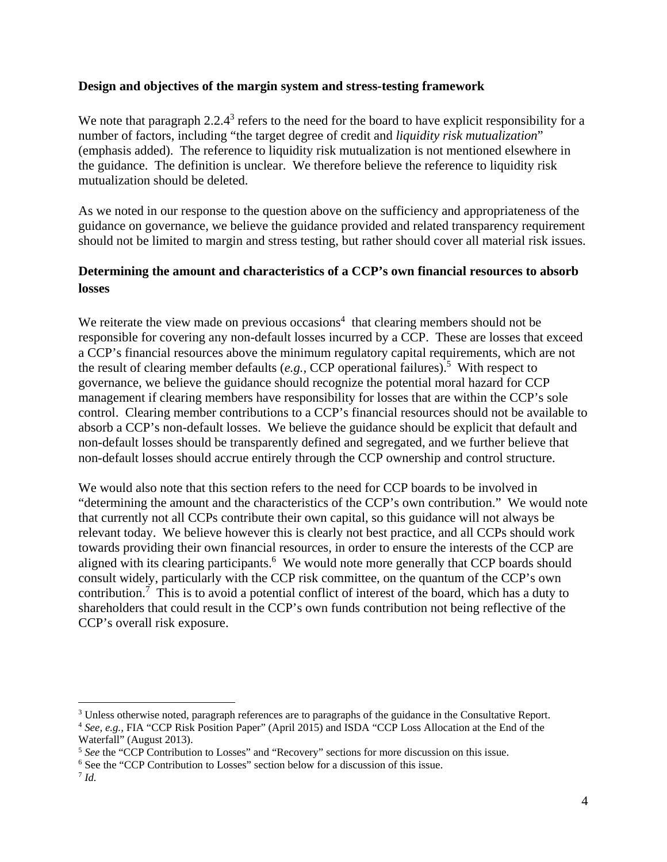#### **Design and objectives of the margin system and stress-testing framework**

We note that paragraph  $2.2.4<sup>3</sup>$  refers to the need for the board to have explicit responsibility for a number of factors, including "the target degree of credit and *liquidity risk mutualization*" (emphasis added). The reference to liquidity risk mutualization is not mentioned elsewhere in the guidance. The definition is unclear. We therefore believe the reference to liquidity risk mutualization should be deleted.

As we noted in our response to the question above on the sufficiency and appropriateness of the guidance on governance, we believe the guidance provided and related transparency requirement should not be limited to margin and stress testing, but rather should cover all material risk issues.

### **Determining the amount and characteristics of a CCP's own financial resources to absorb losses**

We reiterate the view made on previous occasions<sup>4</sup> that clearing members should not be responsible for covering any non-default losses incurred by a CCP. These are losses that exceed a CCP's financial resources above the minimum regulatory capital requirements, which are not the result of clearing member defaults  $(e.g., CCP$  operational failures).<sup>5</sup> With respect to governance, we believe the guidance should recognize the potential moral hazard for CCP management if clearing members have responsibility for losses that are within the CCP's sole control. Clearing member contributions to a CCP's financial resources should not be available to absorb a CCP's non-default losses. We believe the guidance should be explicit that default and non-default losses should be transparently defined and segregated, and we further believe that non-default losses should accrue entirely through the CCP ownership and control structure.

We would also note that this section refers to the need for CCP boards to be involved in "determining the amount and the characteristics of the CCP's own contribution." We would note that currently not all CCPs contribute their own capital, so this guidance will not always be relevant today. We believe however this is clearly not best practice, and all CCPs should work towards providing their own financial resources, in order to ensure the interests of the CCP are aligned with its clearing participants.<sup>6</sup> We would note more generally that CCP boards should consult widely, particularly with the CCP risk committee, on the quantum of the CCP's own contribution.<sup>7</sup> This is to avoid a potential conflict of interest of the board, which has a duty to shareholders that could result in the CCP's own funds contribution not being reflective of the CCP's overall risk exposure.

<sup>&</sup>lt;sup>3</sup> Unless otherwise noted, paragraph references are to paragraphs of the guidance in the Consultative Report.

<sup>4</sup> *See, e.g.,* FIA "CCP Risk Position Paper" (April 2015) and ISDA "CCP Loss Allocation at the End of the Waterfall" (August 2013).

<sup>5</sup> *See* the "CCP Contribution to Losses" and "Recovery" sections for more discussion on this issue.

<sup>&</sup>lt;sup>6</sup> See the "CCP Contribution to Losses" section below for a discussion of this issue.

 $^7$  *Id.*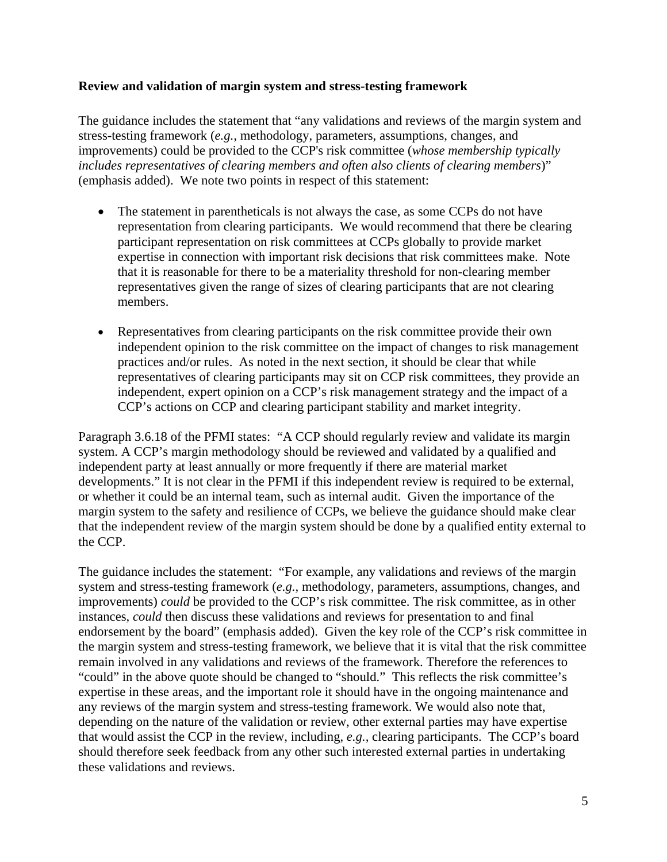#### **Review and validation of margin system and stress-testing framework**

The guidance includes the statement that "any validations and reviews of the margin system and stress-testing framework (*e.g.,* methodology, parameters, assumptions, changes, and improvements) could be provided to the CCP's risk committee (*whose membership typically includes representatives of clearing members and often also clients of clearing members*)" (emphasis added). We note two points in respect of this statement:

- The statement in parentheticals is not always the case, as some CCPs do not have representation from clearing participants. We would recommend that there be clearing participant representation on risk committees at CCPs globally to provide market expertise in connection with important risk decisions that risk committees make. Note that it is reasonable for there to be a materiality threshold for non-clearing member representatives given the range of sizes of clearing participants that are not clearing members.
- Representatives from clearing participants on the risk committee provide their own independent opinion to the risk committee on the impact of changes to risk management practices and/or rules. As noted in the next section, it should be clear that while representatives of clearing participants may sit on CCP risk committees, they provide an independent, expert opinion on a CCP's risk management strategy and the impact of a CCP's actions on CCP and clearing participant stability and market integrity.

Paragraph 3.6.18 of the PFMI states: "A CCP should regularly review and validate its margin system. A CCP's margin methodology should be reviewed and validated by a qualified and independent party at least annually or more frequently if there are material market developments." It is not clear in the PFMI if this independent review is required to be external, or whether it could be an internal team, such as internal audit. Given the importance of the margin system to the safety and resilience of CCPs, we believe the guidance should make clear that the independent review of the margin system should be done by a qualified entity external to the CCP.

The guidance includes the statement: "For example, any validations and reviews of the margin system and stress-testing framework (*e.g.,* methodology, parameters, assumptions, changes, and improvements) *could* be provided to the CCP's risk committee. The risk committee, as in other instances, *could* then discuss these validations and reviews for presentation to and final endorsement by the board" (emphasis added).Given the key role of the CCP's risk committee in the margin system and stress-testing framework, we believe that it is vital that the risk committee remain involved in any validations and reviews of the framework. Therefore the references to "could" in the above quote should be changed to "should." This reflects the risk committee's expertise in these areas, and the important role it should have in the ongoing maintenance and any reviews of the margin system and stress-testing framework. We would also note that, depending on the nature of the validation or review, other external parties may have expertise that would assist the CCP in the review, including, *e.g.,* clearing participants. The CCP's board should therefore seek feedback from any other such interested external parties in undertaking these validations and reviews.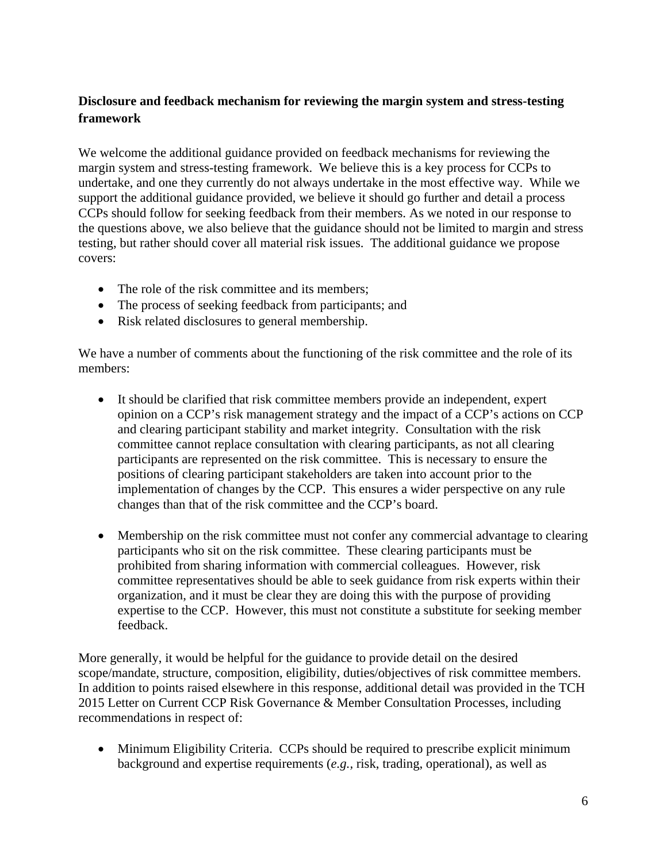## **Disclosure and feedback mechanism for reviewing the margin system and stress-testing framework**

We welcome the additional guidance provided on feedback mechanisms for reviewing the margin system and stress-testing framework. We believe this is a key process for CCPs to undertake, and one they currently do not always undertake in the most effective way. While we support the additional guidance provided, we believe it should go further and detail a process CCPs should follow for seeking feedback from their members. As we noted in our response to the questions above, we also believe that the guidance should not be limited to margin and stress testing, but rather should cover all material risk issues. The additional guidance we propose covers:

- The role of the risk committee and its members:
- The process of seeking feedback from participants; and
- Risk related disclosures to general membership.

We have a number of comments about the functioning of the risk committee and the role of its members:

- It should be clarified that risk committee members provide an independent, expert opinion on a CCP's risk management strategy and the impact of a CCP's actions on CCP and clearing participant stability and market integrity. Consultation with the risk committee cannot replace consultation with clearing participants, as not all clearing participants are represented on the risk committee. This is necessary to ensure the positions of clearing participant stakeholders are taken into account prior to the implementation of changes by the CCP. This ensures a wider perspective on any rule changes than that of the risk committee and the CCP's board.
- Membership on the risk committee must not confer any commercial advantage to clearing participants who sit on the risk committee. These clearing participants must be prohibited from sharing information with commercial colleagues. However, risk committee representatives should be able to seek guidance from risk experts within their organization, and it must be clear they are doing this with the purpose of providing expertise to the CCP. However, this must not constitute a substitute for seeking member feedback.

More generally, it would be helpful for the guidance to provide detail on the desired scope/mandate, structure, composition, eligibility, duties/objectives of risk committee members. In addition to points raised elsewhere in this response, additional detail was provided in the TCH 2015 Letter on Current CCP Risk Governance & Member Consultation Processes, including recommendations in respect of:

• Minimum Eligibility Criteria. CCPs should be required to prescribe explicit minimum background and expertise requirements (*e.g.,* risk, trading, operational), as well as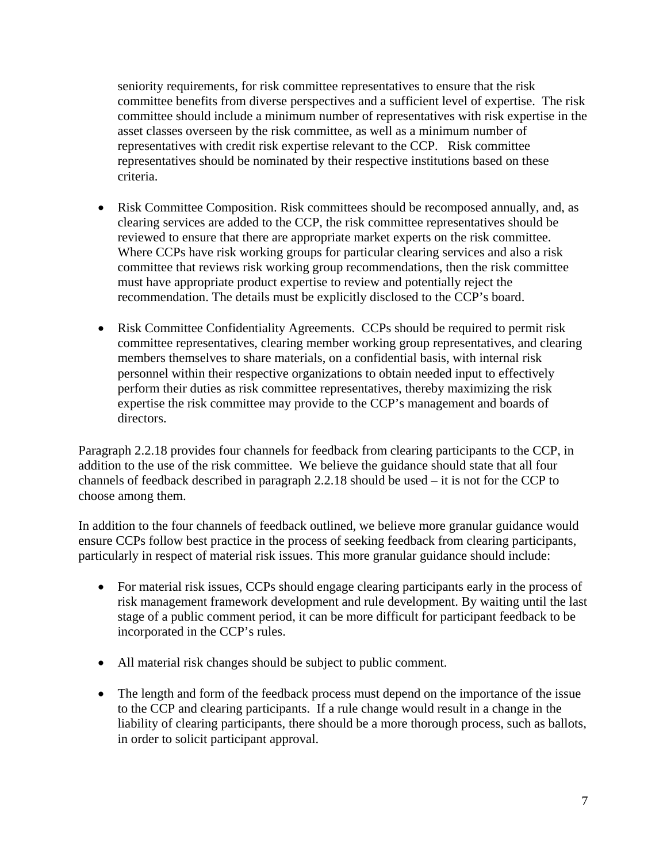seniority requirements, for risk committee representatives to ensure that the risk committee benefits from diverse perspectives and a sufficient level of expertise. The risk committee should include a minimum number of representatives with risk expertise in the asset classes overseen by the risk committee, as well as a minimum number of representatives with credit risk expertise relevant to the CCP. Risk committee representatives should be nominated by their respective institutions based on these criteria.

- Risk Committee Composition. Risk committees should be recomposed annually, and, as clearing services are added to the CCP, the risk committee representatives should be reviewed to ensure that there are appropriate market experts on the risk committee. Where CCPs have risk working groups for particular clearing services and also a risk committee that reviews risk working group recommendations, then the risk committee must have appropriate product expertise to review and potentially reject the recommendation. The details must be explicitly disclosed to the CCP's board.
- Risk Committee Confidentiality Agreements.CCPs should be required to permit risk committee representatives, clearing member working group representatives, and clearing members themselves to share materials, on a confidential basis, with internal risk personnel within their respective organizations to obtain needed input to effectively perform their duties as risk committee representatives, thereby maximizing the risk expertise the risk committee may provide to the CCP's management and boards of directors.

Paragraph 2.2.18 provides four channels for feedback from clearing participants to the CCP, in addition to the use of the risk committee. We believe the guidance should state that all four channels of feedback described in paragraph 2.2.18 should be used – it is not for the CCP to choose among them.

In addition to the four channels of feedback outlined, we believe more granular guidance would ensure CCPs follow best practice in the process of seeking feedback from clearing participants, particularly in respect of material risk issues. This more granular guidance should include:

- For material risk issues, CCPs should engage clearing participants early in the process of risk management framework development and rule development. By waiting until the last stage of a public comment period, it can be more difficult for participant feedback to be incorporated in the CCP's rules.
- All material risk changes should be subject to public comment.
- The length and form of the feedback process must depend on the importance of the issue to the CCP and clearing participants. If a rule change would result in a change in the liability of clearing participants, there should be a more thorough process, such as ballots, in order to solicit participant approval.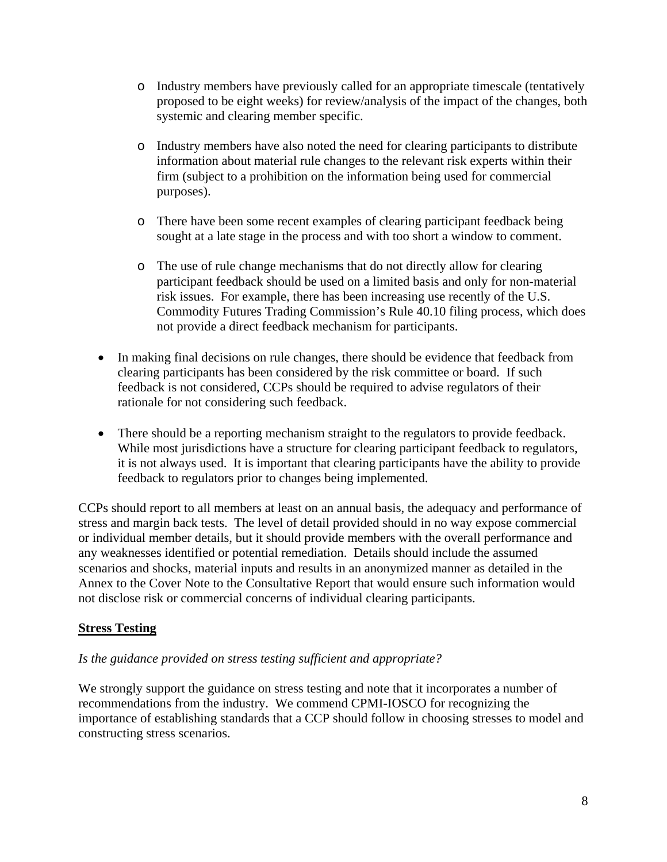- o Industry members have previously called for an appropriate timescale (tentatively proposed to be eight weeks) for review/analysis of the impact of the changes, both systemic and clearing member specific.
- o Industry members have also noted the need for clearing participants to distribute information about material rule changes to the relevant risk experts within their firm (subject to a prohibition on the information being used for commercial purposes).
- o There have been some recent examples of clearing participant feedback being sought at a late stage in the process and with too short a window to comment.
- o The use of rule change mechanisms that do not directly allow for clearing participant feedback should be used on a limited basis and only for non-material risk issues. For example, there has been increasing use recently of the U.S. Commodity Futures Trading Commission's Rule 40.10 filing process, which does not provide a direct feedback mechanism for participants.
- In making final decisions on rule changes, there should be evidence that feedback from clearing participants has been considered by the risk committee or board. If such feedback is not considered, CCPs should be required to advise regulators of their rationale for not considering such feedback.
- There should be a reporting mechanism straight to the regulators to provide feedback. While most jurisdictions have a structure for clearing participant feedback to regulators, it is not always used. It is important that clearing participants have the ability to provide feedback to regulators prior to changes being implemented.

CCPs should report to all members at least on an annual basis, the adequacy and performance of stress and margin back tests. The level of detail provided should in no way expose commercial or individual member details, but it should provide members with the overall performance and any weaknesses identified or potential remediation. Details should include the assumed scenarios and shocks, material inputs and results in an anonymized manner as detailed in the Annex to the Cover Note to the Consultative Report that would ensure such information would not disclose risk or commercial concerns of individual clearing participants.

### **Stress Testing**

### *Is the guidance provided on stress testing sufficient and appropriate?*

We strongly support the guidance on stress testing and note that it incorporates a number of recommendations from the industry. We commend CPMI-IOSCO for recognizing the importance of establishing standards that a CCP should follow in choosing stresses to model and constructing stress scenarios.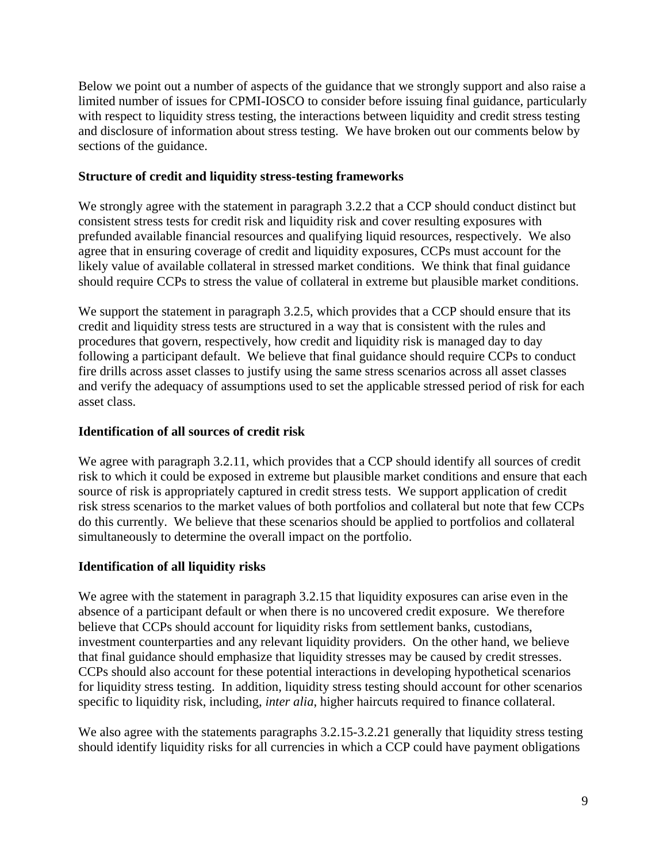Below we point out a number of aspects of the guidance that we strongly support and also raise a limited number of issues for CPMI-IOSCO to consider before issuing final guidance, particularly with respect to liquidity stress testing, the interactions between liquidity and credit stress testing and disclosure of information about stress testing. We have broken out our comments below by sections of the guidance.

### **Structure of credit and liquidity stress-testing frameworks**

We strongly agree with the statement in paragraph 3.2.2 that a CCP should conduct distinct but consistent stress tests for credit risk and liquidity risk and cover resulting exposures with prefunded available financial resources and qualifying liquid resources, respectively. We also agree that in ensuring coverage of credit and liquidity exposures, CCPs must account for the likely value of available collateral in stressed market conditions. We think that final guidance should require CCPs to stress the value of collateral in extreme but plausible market conditions.

We support the statement in paragraph 3.2.5, which provides that a CCP should ensure that its credit and liquidity stress tests are structured in a way that is consistent with the rules and procedures that govern, respectively, how credit and liquidity risk is managed day to day following a participant default. We believe that final guidance should require CCPs to conduct fire drills across asset classes to justify using the same stress scenarios across all asset classes and verify the adequacy of assumptions used to set the applicable stressed period of risk for each asset class.

#### **Identification of all sources of credit risk**

We agree with paragraph 3.2.11, which provides that a CCP should identify all sources of credit risk to which it could be exposed in extreme but plausible market conditions and ensure that each source of risk is appropriately captured in credit stress tests. We support application of credit risk stress scenarios to the market values of both portfolios and collateral but note that few CCPs do this currently. We believe that these scenarios should be applied to portfolios and collateral simultaneously to determine the overall impact on the portfolio.

#### **Identification of all liquidity risks**

We agree with the statement in paragraph 3.2.15 that liquidity exposures can arise even in the absence of a participant default or when there is no uncovered credit exposure. We therefore believe that CCPs should account for liquidity risks from settlement banks, custodians, investment counterparties and any relevant liquidity providers. On the other hand, we believe that final guidance should emphasize that liquidity stresses may be caused by credit stresses. CCPs should also account for these potential interactions in developing hypothetical scenarios for liquidity stress testing. In addition, liquidity stress testing should account for other scenarios specific to liquidity risk, including, *inter alia*, higher haircuts required to finance collateral.

We also agree with the statements paragraphs 3.2.15-3.2.21 generally that liquidity stress testing should identify liquidity risks for all currencies in which a CCP could have payment obligations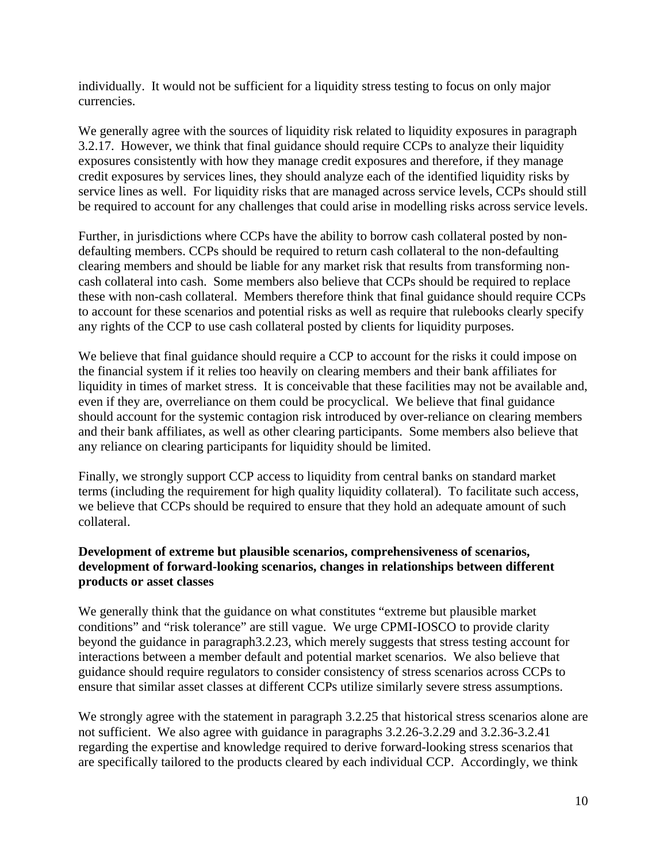individually. It would not be sufficient for a liquidity stress testing to focus on only major currencies.

We generally agree with the sources of liquidity risk related to liquidity exposures in paragraph 3.2.17. However, we think that final guidance should require CCPs to analyze their liquidity exposures consistently with how they manage credit exposures and therefore, if they manage credit exposures by services lines, they should analyze each of the identified liquidity risks by service lines as well. For liquidity risks that are managed across service levels, CCPs should still be required to account for any challenges that could arise in modelling risks across service levels.

Further, in jurisdictions where CCPs have the ability to borrow cash collateral posted by nondefaulting members. CCPs should be required to return cash collateral to the non-defaulting clearing members and should be liable for any market risk that results from transforming noncash collateral into cash. Some members also believe that CCPs should be required to replace these with non-cash collateral. Members therefore think that final guidance should require CCPs to account for these scenarios and potential risks as well as require that rulebooks clearly specify any rights of the CCP to use cash collateral posted by clients for liquidity purposes.

We believe that final guidance should require a CCP to account for the risks it could impose on the financial system if it relies too heavily on clearing members and their bank affiliates for liquidity in times of market stress. It is conceivable that these facilities may not be available and, even if they are, overreliance on them could be procyclical. We believe that final guidance should account for the systemic contagion risk introduced by over-reliance on clearing members and their bank affiliates, as well as other clearing participants. Some members also believe that any reliance on clearing participants for liquidity should be limited.

Finally, we strongly support CCP access to liquidity from central banks on standard market terms (including the requirement for high quality liquidity collateral). To facilitate such access, we believe that CCPs should be required to ensure that they hold an adequate amount of such collateral.

### **Development of extreme but plausible scenarios, comprehensiveness of scenarios, development of forward-looking scenarios, changes in relationships between different products or asset classes**

We generally think that the guidance on what constitutes "extreme but plausible market conditions" and "risk tolerance" are still vague. We urge CPMI-IOSCO to provide clarity beyond the guidance in paragraph3.2.23, which merely suggests that stress testing account for interactions between a member default and potential market scenarios. We also believe that guidance should require regulators to consider consistency of stress scenarios across CCPs to ensure that similar asset classes at different CCPs utilize similarly severe stress assumptions.

We strongly agree with the statement in paragraph 3.2.25 that historical stress scenarios alone are not sufficient. We also agree with guidance in paragraphs 3.2.26-3.2.29 and 3.2.36-3.2.41 regarding the expertise and knowledge required to derive forward-looking stress scenarios that are specifically tailored to the products cleared by each individual CCP. Accordingly, we think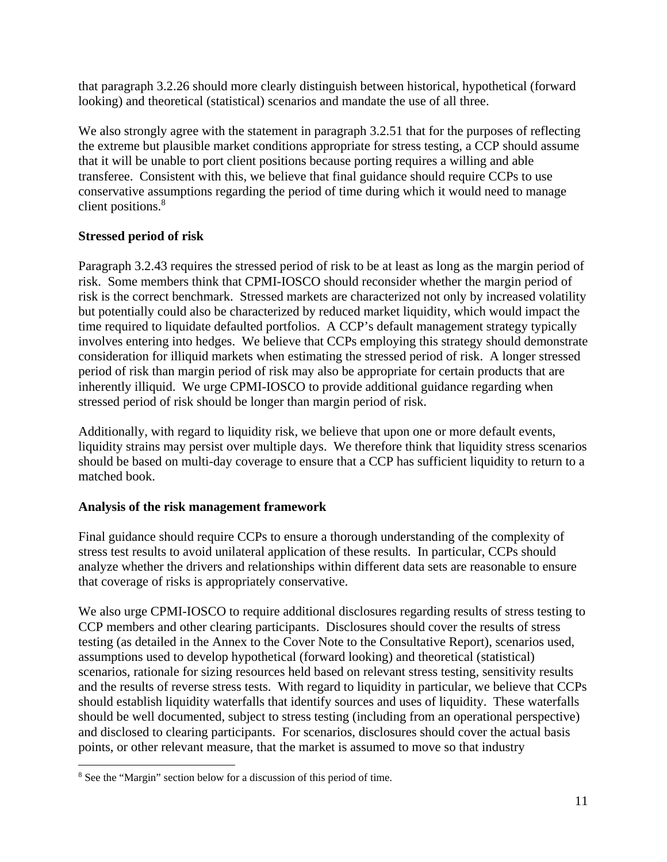that paragraph 3.2.26 should more clearly distinguish between historical, hypothetical (forward looking) and theoretical (statistical) scenarios and mandate the use of all three.

We also strongly agree with the statement in paragraph 3.2.51 that for the purposes of reflecting the extreme but plausible market conditions appropriate for stress testing, a CCP should assume that it will be unable to port client positions because porting requires a willing and able transferee. Consistent with this, we believe that final guidance should require CCPs to use conservative assumptions regarding the period of time during which it would need to manage client positions.<sup>8</sup>

# **Stressed period of risk**

Paragraph 3.2.43 requires the stressed period of risk to be at least as long as the margin period of risk. Some members think that CPMI-IOSCO should reconsider whether the margin period of risk is the correct benchmark. Stressed markets are characterized not only by increased volatility but potentially could also be characterized by reduced market liquidity, which would impact the time required to liquidate defaulted portfolios. A CCP's default management strategy typically involves entering into hedges. We believe that CCPs employing this strategy should demonstrate consideration for illiquid markets when estimating the stressed period of risk. A longer stressed period of risk than margin period of risk may also be appropriate for certain products that are inherently illiquid. We urge CPMI-IOSCO to provide additional guidance regarding when stressed period of risk should be longer than margin period of risk.

Additionally, with regard to liquidity risk, we believe that upon one or more default events, liquidity strains may persist over multiple days. We therefore think that liquidity stress scenarios should be based on multi-day coverage to ensure that a CCP has sufficient liquidity to return to a matched book.

# **Analysis of the risk management framework**

Final guidance should require CCPs to ensure a thorough understanding of the complexity of stress test results to avoid unilateral application of these results. In particular, CCPs should analyze whether the drivers and relationships within different data sets are reasonable to ensure that coverage of risks is appropriately conservative.

We also urge CPMI-IOSCO to require additional disclosures regarding results of stress testing to CCP members and other clearing participants. Disclosures should cover the results of stress testing (as detailed in the Annex to the Cover Note to the Consultative Report), scenarios used, assumptions used to develop hypothetical (forward looking) and theoretical (statistical) scenarios, rationale for sizing resources held based on relevant stress testing, sensitivity results and the results of reverse stress tests. With regard to liquidity in particular, we believe that CCPs should establish liquidity waterfalls that identify sources and uses of liquidity. These waterfalls should be well documented, subject to stress testing (including from an operational perspective) and disclosed to clearing participants. For scenarios, disclosures should cover the actual basis points, or other relevant measure, that the market is assumed to move so that industry

 <sup>8</sup> See the "Margin" section below for a discussion of this period of time.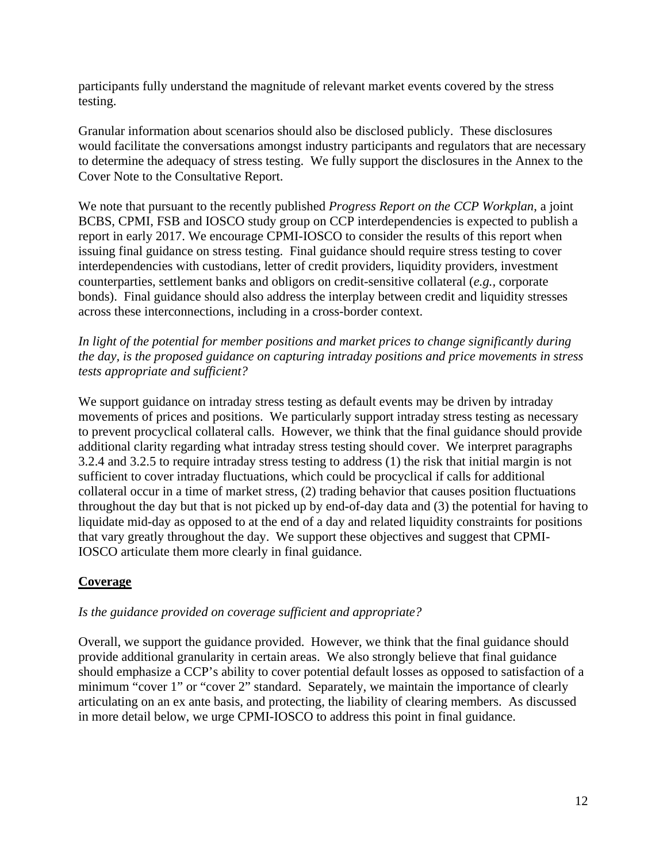participants fully understand the magnitude of relevant market events covered by the stress testing.

Granular information about scenarios should also be disclosed publicly. These disclosures would facilitate the conversations amongst industry participants and regulators that are necessary to determine the adequacy of stress testing. We fully support the disclosures in the Annex to the Cover Note to the Consultative Report.

We note that pursuant to the recently published *Progress Report on the CCP Workplan*, a joint BCBS, CPMI, FSB and IOSCO study group on CCP interdependencies is expected to publish a report in early 2017. We encourage CPMI-IOSCO to consider the results of this report when issuing final guidance on stress testing. Final guidance should require stress testing to cover interdependencies with custodians, letter of credit providers, liquidity providers, investment counterparties, settlement banks and obligors on credit-sensitive collateral (*e.g.,* corporate bonds). Final guidance should also address the interplay between credit and liquidity stresses across these interconnections, including in a cross-border context.

*In light of the potential for member positions and market prices to change significantly during the day, is the proposed guidance on capturing intraday positions and price movements in stress tests appropriate and sufficient?* 

We support guidance on intraday stress testing as default events may be driven by intraday movements of prices and positions. We particularly support intraday stress testing as necessary to prevent procyclical collateral calls. However, we think that the final guidance should provide additional clarity regarding what intraday stress testing should cover. We interpret paragraphs 3.2.4 and 3.2.5 to require intraday stress testing to address (1) the risk that initial margin is not sufficient to cover intraday fluctuations, which could be procyclical if calls for additional collateral occur in a time of market stress, (2) trading behavior that causes position fluctuations throughout the day but that is not picked up by end-of-day data and (3) the potential for having to liquidate mid-day as opposed to at the end of a day and related liquidity constraints for positions that vary greatly throughout the day. We support these objectives and suggest that CPMI-IOSCO articulate them more clearly in final guidance.

# **Coverage**

#### *Is the guidance provided on coverage sufficient and appropriate?*

Overall, we support the guidance provided. However, we think that the final guidance should provide additional granularity in certain areas. We also strongly believe that final guidance should emphasize a CCP's ability to cover potential default losses as opposed to satisfaction of a minimum "cover 1" or "cover 2" standard. Separately, we maintain the importance of clearly articulating on an ex ante basis, and protecting, the liability of clearing members. As discussed in more detail below, we urge CPMI-IOSCO to address this point in final guidance.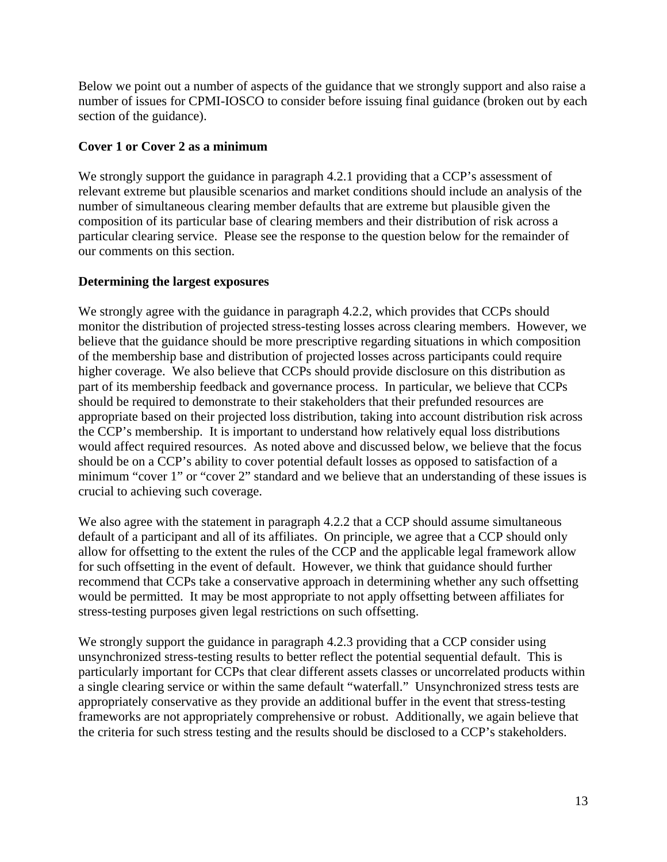Below we point out a number of aspects of the guidance that we strongly support and also raise a number of issues for CPMI-IOSCO to consider before issuing final guidance (broken out by each section of the guidance).

### **Cover 1 or Cover 2 as a minimum**

We strongly support the guidance in paragraph 4.2.1 providing that a CCP's assessment of relevant extreme but plausible scenarios and market conditions should include an analysis of the number of simultaneous clearing member defaults that are extreme but plausible given the composition of its particular base of clearing members and their distribution of risk across a particular clearing service. Please see the response to the question below for the remainder of our comments on this section.

### **Determining the largest exposures**

We strongly agree with the guidance in paragraph 4.2.2, which provides that CCPs should monitor the distribution of projected stress-testing losses across clearing members. However, we believe that the guidance should be more prescriptive regarding situations in which composition of the membership base and distribution of projected losses across participants could require higher coverage. We also believe that CCPs should provide disclosure on this distribution as part of its membership feedback and governance process. In particular, we believe that CCPs should be required to demonstrate to their stakeholders that their prefunded resources are appropriate based on their projected loss distribution, taking into account distribution risk across the CCP's membership. It is important to understand how relatively equal loss distributions would affect required resources. As noted above and discussed below, we believe that the focus should be on a CCP's ability to cover potential default losses as opposed to satisfaction of a minimum "cover 1" or "cover 2" standard and we believe that an understanding of these issues is crucial to achieving such coverage.

We also agree with the statement in paragraph 4.2.2 that a CCP should assume simultaneous default of a participant and all of its affiliates. On principle, we agree that a CCP should only allow for offsetting to the extent the rules of the CCP and the applicable legal framework allow for such offsetting in the event of default. However, we think that guidance should further recommend that CCPs take a conservative approach in determining whether any such offsetting would be permitted. It may be most appropriate to not apply offsetting between affiliates for stress-testing purposes given legal restrictions on such offsetting.

We strongly support the guidance in paragraph 4.2.3 providing that a CCP consider using unsynchronized stress-testing results to better reflect the potential sequential default. This is particularly important for CCPs that clear different assets classes or uncorrelated products within a single clearing service or within the same default "waterfall." Unsynchronized stress tests are appropriately conservative as they provide an additional buffer in the event that stress-testing frameworks are not appropriately comprehensive or robust. Additionally, we again believe that the criteria for such stress testing and the results should be disclosed to a CCP's stakeholders.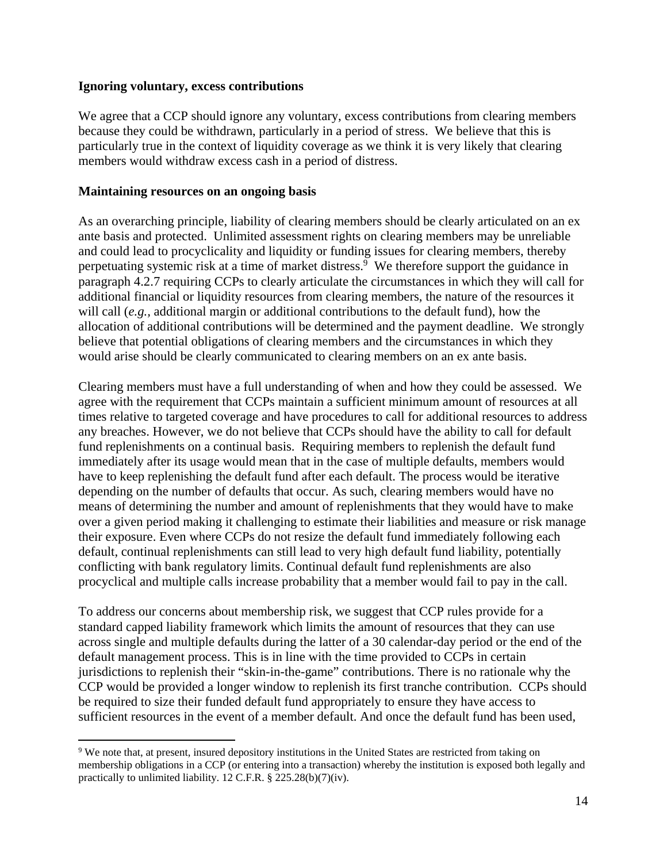#### **Ignoring voluntary, excess contributions**

We agree that a CCP should ignore any voluntary, excess contributions from clearing members because they could be withdrawn, particularly in a period of stress. We believe that this is particularly true in the context of liquidity coverage as we think it is very likely that clearing members would withdraw excess cash in a period of distress.

#### **Maintaining resources on an ongoing basis**

As an overarching principle, liability of clearing members should be clearly articulated on an ex ante basis and protected. Unlimited assessment rights on clearing members may be unreliable and could lead to procyclicality and liquidity or funding issues for clearing members, thereby perpetuating systemic risk at a time of market distress.<sup>9</sup> We therefore support the guidance in paragraph 4.2.7 requiring CCPs to clearly articulate the circumstances in which they will call for additional financial or liquidity resources from clearing members, the nature of the resources it will call (*e.g.,* additional margin or additional contributions to the default fund), how the allocation of additional contributions will be determined and the payment deadline. We strongly believe that potential obligations of clearing members and the circumstances in which they would arise should be clearly communicated to clearing members on an ex ante basis.

Clearing members must have a full understanding of when and how they could be assessed. We agree with the requirement that CCPs maintain a sufficient minimum amount of resources at all times relative to targeted coverage and have procedures to call for additional resources to address any breaches. However, we do not believe that CCPs should have the ability to call for default fund replenishments on a continual basis. Requiring members to replenish the default fund immediately after its usage would mean that in the case of multiple defaults, members would have to keep replenishing the default fund after each default. The process would be iterative depending on the number of defaults that occur. As such, clearing members would have no means of determining the number and amount of replenishments that they would have to make over a given period making it challenging to estimate their liabilities and measure or risk manage their exposure. Even where CCPs do not resize the default fund immediately following each default, continual replenishments can still lead to very high default fund liability, potentially conflicting with bank regulatory limits. Continual default fund replenishments are also procyclical and multiple calls increase probability that a member would fail to pay in the call.

To address our concerns about membership risk, we suggest that CCP rules provide for a standard capped liability framework which limits the amount of resources that they can use across single and multiple defaults during the latter of a 30 calendar-day period or the end of the default management process. This is in line with the time provided to CCPs in certain jurisdictions to replenish their "skin-in-the-game" contributions. There is no rationale why the CCP would be provided a longer window to replenish its first tranche contribution. CCPs should be required to size their funded default fund appropriately to ensure they have access to sufficient resources in the event of a member default. And once the default fund has been used,

<sup>&</sup>lt;sup>9</sup> We note that, at present, insured depository institutions in the United States are restricted from taking on membership obligations in a CCP (or entering into a transaction) whereby the institution is exposed both legally and practically to unlimited liability. 12 C.F.R. § 225.28(b)(7)(iv).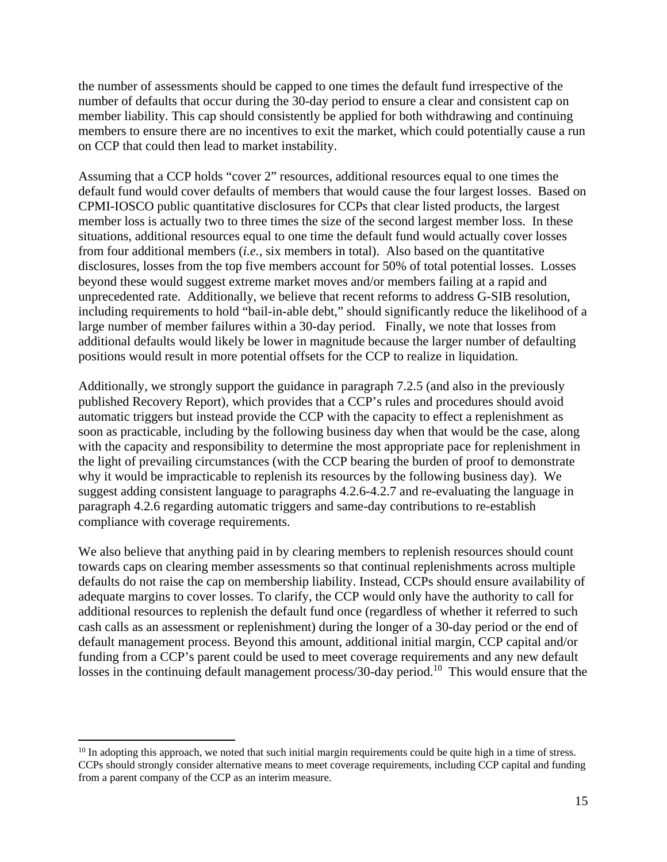the number of assessments should be capped to one times the default fund irrespective of the number of defaults that occur during the 30-day period to ensure a clear and consistent cap on member liability. This cap should consistently be applied for both withdrawing and continuing members to ensure there are no incentives to exit the market, which could potentially cause a run on CCP that could then lead to market instability.

Assuming that a CCP holds "cover 2" resources, additional resources equal to one times the default fund would cover defaults of members that would cause the four largest losses. Based on CPMI-IOSCO public quantitative disclosures for CCPs that clear listed products, the largest member loss is actually two to three times the size of the second largest member loss. In these situations, additional resources equal to one time the default fund would actually cover losses from four additional members (*i.e.,* six members in total). Also based on the quantitative disclosures, losses from the top five members account for 50% of total potential losses. Losses beyond these would suggest extreme market moves and/or members failing at a rapid and unprecedented rate. Additionally, we believe that recent reforms to address G-SIB resolution, including requirements to hold "bail-in-able debt," should significantly reduce the likelihood of a large number of member failures within a 30-day period. Finally, we note that losses from additional defaults would likely be lower in magnitude because the larger number of defaulting positions would result in more potential offsets for the CCP to realize in liquidation.

Additionally, we strongly support the guidance in paragraph 7.2.5 (and also in the previously published Recovery Report), which provides that a CCP's rules and procedures should avoid automatic triggers but instead provide the CCP with the capacity to effect a replenishment as soon as practicable, including by the following business day when that would be the case, along with the capacity and responsibility to determine the most appropriate pace for replenishment in the light of prevailing circumstances (with the CCP bearing the burden of proof to demonstrate why it would be impracticable to replenish its resources by the following business day). We suggest adding consistent language to paragraphs 4.2.6-4.2.7 and re-evaluating the language in paragraph 4.2.6 regarding automatic triggers and same-day contributions to re-establish compliance with coverage requirements.

We also believe that anything paid in by clearing members to replenish resources should count towards caps on clearing member assessments so that continual replenishments across multiple defaults do not raise the cap on membership liability. Instead, CCPs should ensure availability of adequate margins to cover losses. To clarify, the CCP would only have the authority to call for additional resources to replenish the default fund once (regardless of whether it referred to such cash calls as an assessment or replenishment) during the longer of a 30-day period or the end of default management process. Beyond this amount, additional initial margin, CCP capital and/or funding from a CCP's parent could be used to meet coverage requirements and any new default losses in the continuing default management process/30-day period.<sup>10</sup> This would ensure that the

 $10$  In adopting this approach, we noted that such initial margin requirements could be quite high in a time of stress. CCPs should strongly consider alternative means to meet coverage requirements, including CCP capital and funding from a parent company of the CCP as an interim measure.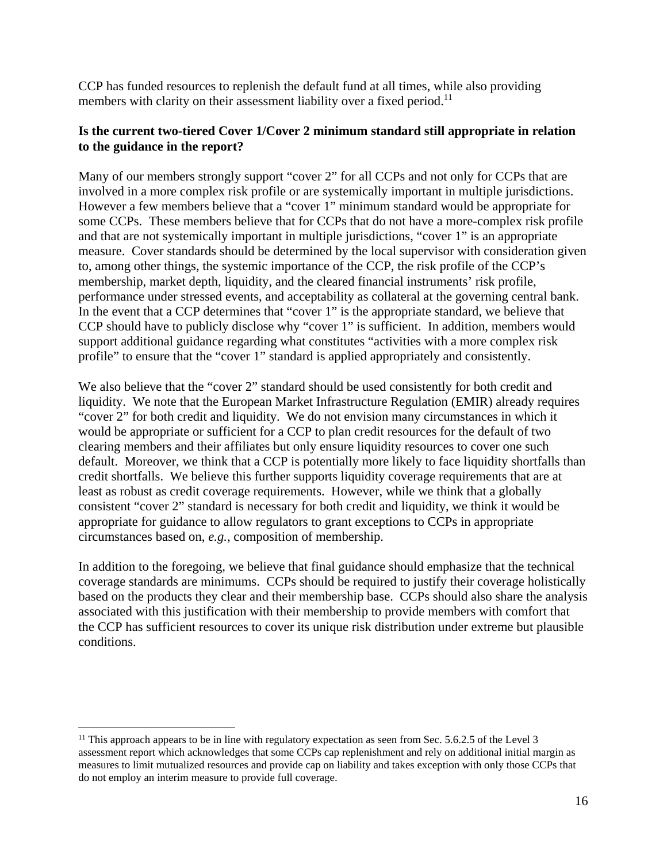CCP has funded resources to replenish the default fund at all times, while also providing members with clarity on their assessment liability over a fixed period.<sup>11</sup>

#### **Is the current two-tiered Cover 1/Cover 2 minimum standard still appropriate in relation to the guidance in the report?**

Many of our members strongly support "cover 2" for all CCPs and not only for CCPs that are involved in a more complex risk profile or are systemically important in multiple jurisdictions. However a few members believe that a "cover 1" minimum standard would be appropriate for some CCPs. These members believe that for CCPs that do not have a more-complex risk profile and that are not systemically important in multiple jurisdictions, "cover 1" is an appropriate measure. Cover standards should be determined by the local supervisor with consideration given to, among other things, the systemic importance of the CCP, the risk profile of the CCP's membership, market depth, liquidity, and the cleared financial instruments' risk profile, performance under stressed events, and acceptability as collateral at the governing central bank. In the event that a CCP determines that "cover 1" is the appropriate standard, we believe that CCP should have to publicly disclose why "cover 1" is sufficient. In addition, members would support additional guidance regarding what constitutes "activities with a more complex risk profile" to ensure that the "cover 1" standard is applied appropriately and consistently.

We also believe that the "cover 2" standard should be used consistently for both credit and liquidity. We note that the European Market Infrastructure Regulation (EMIR) already requires "cover 2" for both credit and liquidity. We do not envision many circumstances in which it would be appropriate or sufficient for a CCP to plan credit resources for the default of two clearing members and their affiliates but only ensure liquidity resources to cover one such default. Moreover, we think that a CCP is potentially more likely to face liquidity shortfalls than credit shortfalls. We believe this further supports liquidity coverage requirements that are at least as robust as credit coverage requirements. However, while we think that a globally consistent "cover 2" standard is necessary for both credit and liquidity, we think it would be appropriate for guidance to allow regulators to grant exceptions to CCPs in appropriate circumstances based on, *e.g.,* composition of membership.

In addition to the foregoing, we believe that final guidance should emphasize that the technical coverage standards are minimums. CCPs should be required to justify their coverage holistically based on the products they clear and their membership base. CCPs should also share the analysis associated with this justification with their membership to provide members with comfort that the CCP has sufficient resources to cover its unique risk distribution under extreme but plausible conditions.

 $11$  This approach appears to be in line with regulatory expectation as seen from Sec. 5.6.2.5 of the Level 3 assessment report which acknowledges that some CCPs cap replenishment and rely on additional initial margin as measures to limit mutualized resources and provide cap on liability and takes exception with only those CCPs that do not employ an interim measure to provide full coverage.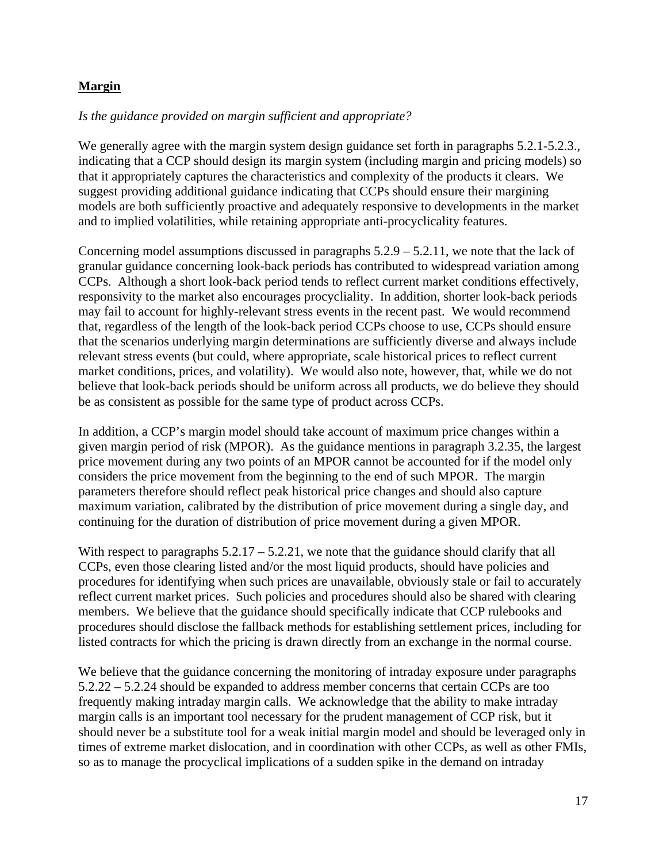### **Margin**

### *Is the guidance provided on margin sufficient and appropriate?*

We generally agree with the margin system design guidance set forth in paragraphs 5.2.1-5.2.3., indicating that a CCP should design its margin system (including margin and pricing models) so that it appropriately captures the characteristics and complexity of the products it clears. We suggest providing additional guidance indicating that CCPs should ensure their margining models are both sufficiently proactive and adequately responsive to developments in the market and to implied volatilities, while retaining appropriate anti-procyclicality features.

Concerning model assumptions discussed in paragraphs 5.2.9 – 5.2.11, we note that the lack of granular guidance concerning look-back periods has contributed to widespread variation among CCPs. Although a short look-back period tends to reflect current market conditions effectively, responsivity to the market also encourages procycliality. In addition, shorter look-back periods may fail to account for highly-relevant stress events in the recent past. We would recommend that, regardless of the length of the look-back period CCPs choose to use, CCPs should ensure that the scenarios underlying margin determinations are sufficiently diverse and always include relevant stress events (but could, where appropriate, scale historical prices to reflect current market conditions, prices, and volatility). We would also note, however, that, while we do not believe that look-back periods should be uniform across all products, we do believe they should be as consistent as possible for the same type of product across CCPs.

In addition, a CCP's margin model should take account of maximum price changes within a given margin period of risk (MPOR). As the guidance mentions in paragraph 3.2.35, the largest price movement during any two points of an MPOR cannot be accounted for if the model only considers the price movement from the beginning to the end of such MPOR. The margin parameters therefore should reflect peak historical price changes and should also capture maximum variation, calibrated by the distribution of price movement during a single day, and continuing for the duration of distribution of price movement during a given MPOR.

With respect to paragraphs  $5.2.17 - 5.2.21$ , we note that the guidance should clarify that all CCPs, even those clearing listed and/or the most liquid products, should have policies and procedures for identifying when such prices are unavailable, obviously stale or fail to accurately reflect current market prices. Such policies and procedures should also be shared with clearing members. We believe that the guidance should specifically indicate that CCP rulebooks and procedures should disclose the fallback methods for establishing settlement prices, including for listed contracts for which the pricing is drawn directly from an exchange in the normal course.

We believe that the guidance concerning the monitoring of intraday exposure under paragraphs 5.2.22 – 5.2.24 should be expanded to address member concerns that certain CCPs are too frequently making intraday margin calls. We acknowledge that the ability to make intraday margin calls is an important tool necessary for the prudent management of CCP risk, but it should never be a substitute tool for a weak initial margin model and should be leveraged only in times of extreme market dislocation, and in coordination with other CCPs, as well as other FMIs, so as to manage the procyclical implications of a sudden spike in the demand on intraday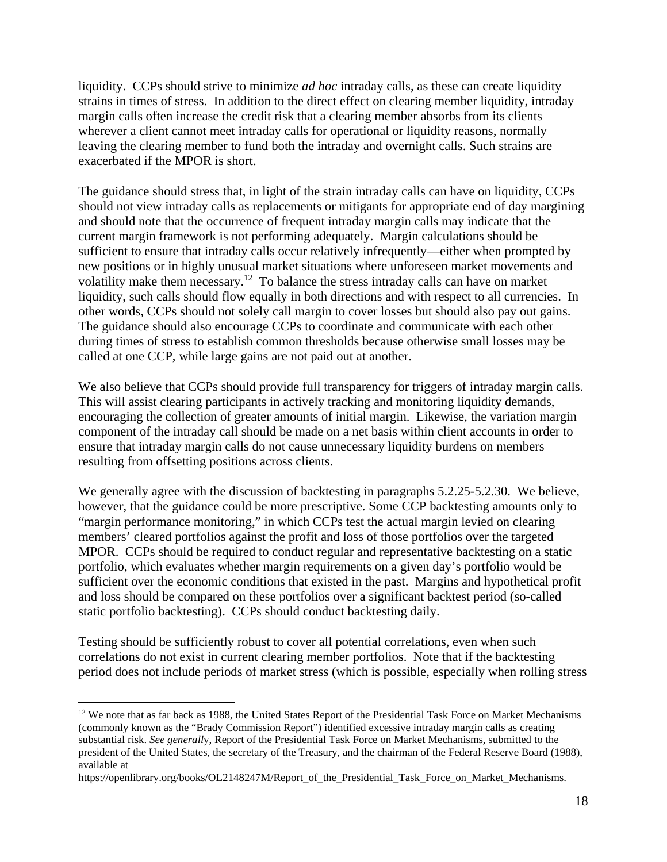liquidity. CCPs should strive to minimize *ad hoc* intraday calls, as these can create liquidity strains in times of stress. In addition to the direct effect on clearing member liquidity, intraday margin calls often increase the credit risk that a clearing member absorbs from its clients wherever a client cannot meet intraday calls for operational or liquidity reasons, normally leaving the clearing member to fund both the intraday and overnight calls. Such strains are exacerbated if the MPOR is short.

The guidance should stress that, in light of the strain intraday calls can have on liquidity, CCPs should not view intraday calls as replacements or mitigants for appropriate end of day margining and should note that the occurrence of frequent intraday margin calls may indicate that the current margin framework is not performing adequately. Margin calculations should be sufficient to ensure that intraday calls occur relatively infrequently—either when prompted by new positions or in highly unusual market situations where unforeseen market movements and volatility make them necessary.12 To balance the stress intraday calls can have on market liquidity, such calls should flow equally in both directions and with respect to all currencies. In other words, CCPs should not solely call margin to cover losses but should also pay out gains. The guidance should also encourage CCPs to coordinate and communicate with each other during times of stress to establish common thresholds because otherwise small losses may be called at one CCP, while large gains are not paid out at another.

We also believe that CCPs should provide full transparency for triggers of intraday margin calls. This will assist clearing participants in actively tracking and monitoring liquidity demands, encouraging the collection of greater amounts of initial margin. Likewise, the variation margin component of the intraday call should be made on a net basis within client accounts in order to ensure that intraday margin calls do not cause unnecessary liquidity burdens on members resulting from offsetting positions across clients.

We generally agree with the discussion of backtesting in paragraphs 5.2.25-5.2.30. We believe, however, that the guidance could be more prescriptive. Some CCP backtesting amounts only to "margin performance monitoring," in which CCPs test the actual margin levied on clearing members' cleared portfolios against the profit and loss of those portfolios over the targeted MPOR. CCPs should be required to conduct regular and representative backtesting on a static portfolio, which evaluates whether margin requirements on a given day's portfolio would be sufficient over the economic conditions that existed in the past. Margins and hypothetical profit and loss should be compared on these portfolios over a significant backtest period (so-called static portfolio backtesting). CCPs should conduct backtesting daily.

Testing should be sufficiently robust to cover all potential correlations, even when such correlations do not exist in current clearing member portfolios. Note that if the backtesting period does not include periods of market stress (which is possible, especially when rolling stress

<sup>&</sup>lt;sup>12</sup> We note that as far back as 1988, the United States Report of the Presidential Task Force on Market Mechanisms (commonly known as the "Brady Commission Report") identified excessive intraday margin calls as creating substantial risk. *See generall*y, Report of the Presidential Task Force on Market Mechanisms, submitted to the president of the United States, the secretary of the Treasury, and the chairman of the Federal Reserve Board (1988), available at

https://openlibrary.org/books/OL2148247M/Report\_of\_the\_Presidential\_Task\_Force\_on\_Market\_Mechanisms.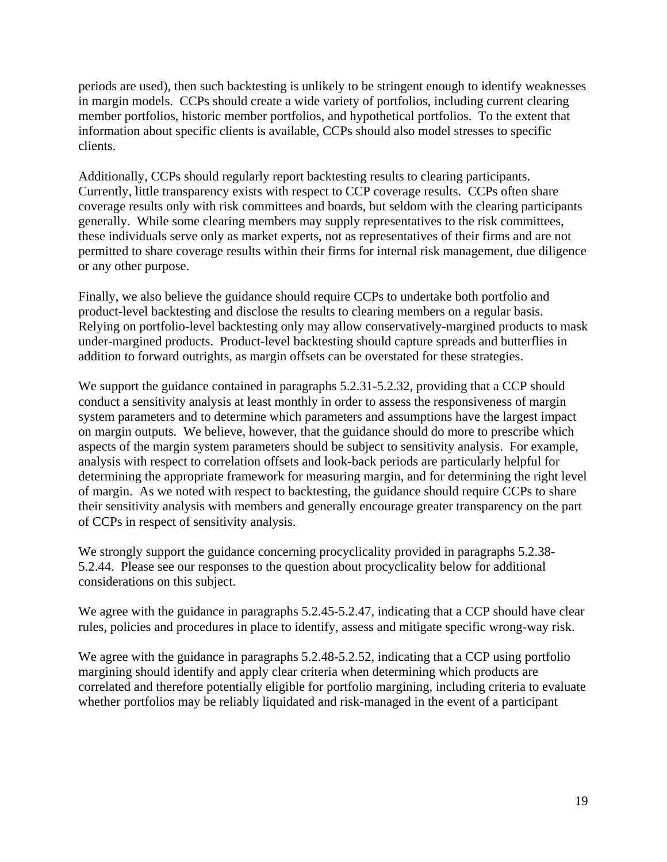periods are used), then such backtesting is unlikely to be stringent enough to identify weaknesses in margin models. CCPs should create a wide variety of portfolios, including current clearing member portfolios, historic member portfolios, and hypothetical portfolios. To the extent that information about specific clients is available, CCPs should also model stresses to specific clients.

Additionally, CCPs should regularly report backtesting results to clearing participants. Currently, little transparency exists with respect to CCP coverage results. CCPs often share coverage results only with risk committees and boards, but seldom with the clearing participants generally. While some clearing members may supply representatives to the risk committees, these individuals serve only as market experts, not as representatives of their firms and are not permitted to share coverage results within their firms for internal risk management, due diligence or any other purpose.

Finally, we also believe the guidance should require CCPs to undertake both portfolio and product-level backtesting and disclose the results to clearing members on a regular basis. Relying on portfolio-level backtesting only may allow conservatively-margined products to mask under-margined products. Product-level backtesting should capture spreads and butterflies in addition to forward outrights, as margin offsets can be overstated for these strategies.

We support the guidance contained in paragraphs 5.2.31-5.2.32, providing that a CCP should conduct a sensitivity analysis at least monthly in order to assess the responsiveness of margin system parameters and to determine which parameters and assumptions have the largest impact on margin outputs. We believe, however, that the guidance should do more to prescribe which aspects of the margin system parameters should be subject to sensitivity analysis. For example, analysis with respect to correlation offsets and look-back periods are particularly helpful for determining the appropriate framework for measuring margin, and for determining the right level of margin. As we noted with respect to backtesting, the guidance should require CCPs to share their sensitivity analysis with members and generally encourage greater transparency on the part of CCPs in respect of sensitivity analysis.

We strongly support the guidance concerning procyclicality provided in paragraphs 5.2.38-5.2.44. Please see our responses to the question about procyclicality below for additional considerations on this subject.

We agree with the guidance in paragraphs 5.2.45-5.2.47, indicating that a CCP should have clear rules, policies and procedures in place to identify, assess and mitigate specific wrong-way risk.

We agree with the guidance in paragraphs 5.2.48-5.2.52, indicating that a CCP using portfolio margining should identify and apply clear criteria when determining which products are correlated and therefore potentially eligible for portfolio margining, including criteria to evaluate whether portfolios may be reliably liquidated and risk-managed in the event of a participant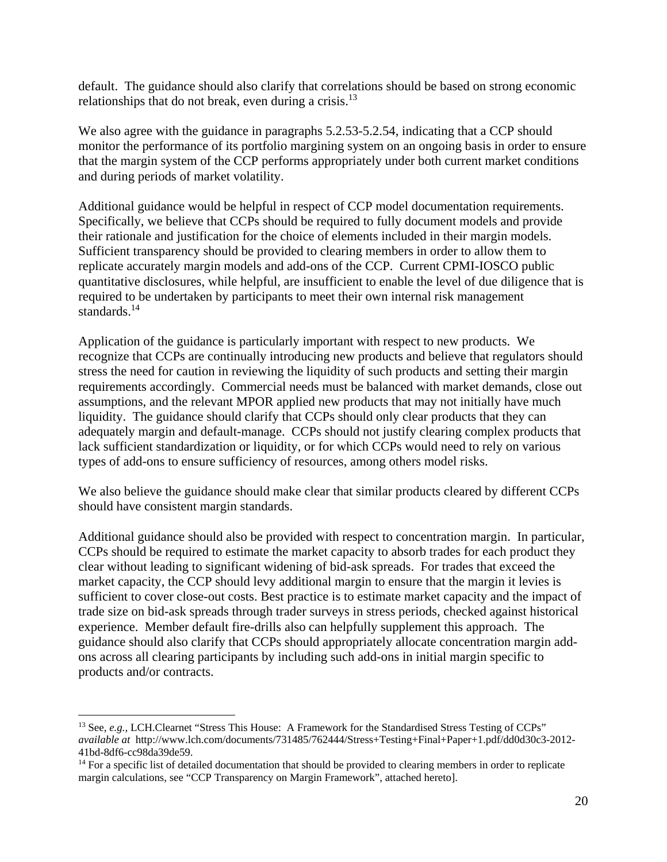default. The guidance should also clarify that correlations should be based on strong economic relationships that do not break, even during a crisis. $^{13}$ 

We also agree with the guidance in paragraphs 5.2.53-5.2.54, indicating that a CCP should monitor the performance of its portfolio margining system on an ongoing basis in order to ensure that the margin system of the CCP performs appropriately under both current market conditions and during periods of market volatility.

Additional guidance would be helpful in respect of CCP model documentation requirements. Specifically, we believe that CCPs should be required to fully document models and provide their rationale and justification for the choice of elements included in their margin models. Sufficient transparency should be provided to clearing members in order to allow them to replicate accurately margin models and add-ons of the CCP. Current CPMI-IOSCO public quantitative disclosures, while helpful, are insufficient to enable the level of due diligence that is required to be undertaken by participants to meet their own internal risk management standards.<sup>14</sup>

Application of the guidance is particularly important with respect to new products. We recognize that CCPs are continually introducing new products and believe that regulators should stress the need for caution in reviewing the liquidity of such products and setting their margin requirements accordingly. Commercial needs must be balanced with market demands, close out assumptions, and the relevant MPOR applied new products that may not initially have much liquidity. The guidance should clarify that CCPs should only clear products that they can adequately margin and default-manage. CCPs should not justify clearing complex products that lack sufficient standardization or liquidity, or for which CCPs would need to rely on various types of add-ons to ensure sufficiency of resources, among others model risks.

We also believe the guidance should make clear that similar products cleared by different CCPs should have consistent margin standards.

Additional guidance should also be provided with respect to concentration margin. In particular, CCPs should be required to estimate the market capacity to absorb trades for each product they clear without leading to significant widening of bid-ask spreads. For trades that exceed the market capacity, the CCP should levy additional margin to ensure that the margin it levies is sufficient to cover close-out costs. Best practice is to estimate market capacity and the impact of trade size on bid-ask spreads through trader surveys in stress periods, checked against historical experience. Member default fire-drills also can helpfully supplement this approach. The guidance should also clarify that CCPs should appropriately allocate concentration margin addons across all clearing participants by including such add-ons in initial margin specific to products and/or contracts.

<sup>&</sup>lt;sup>13</sup> See, *e.g.*, LCH.Clearnet "Stress This House: A Framework for the Standardised Stress Testing of CCPs" *available at* http://www.lch.com/documents/731485/762444/Stress+Testing+Final+Paper+1.pdf/dd0d30c3-2012- 41bd-8df6-cc98da39de59.

<sup>&</sup>lt;sup>14</sup> For a specific list of detailed documentation that should be provided to clearing members in order to replicate margin calculations, see "CCP Transparency on Margin Framework", attached hereto].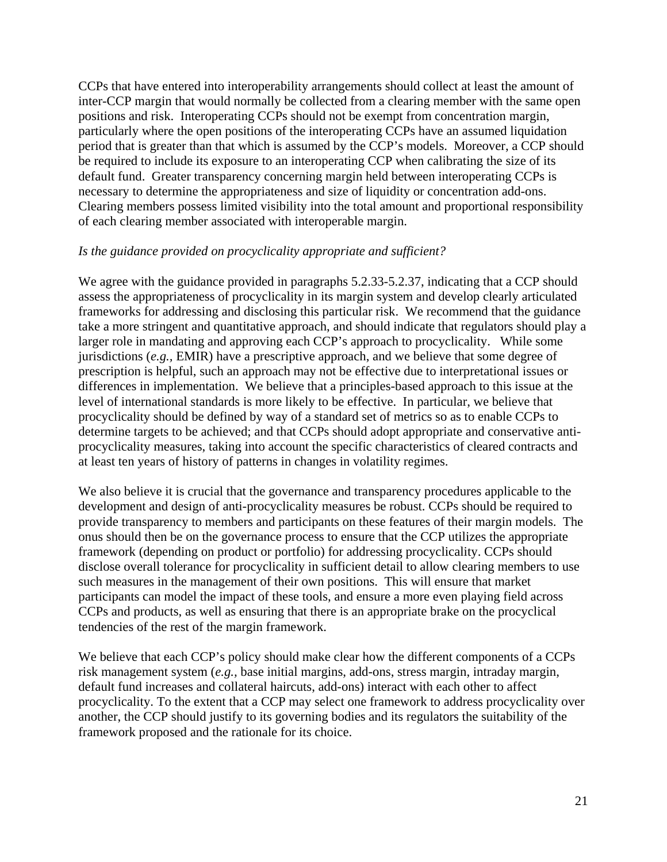CCPs that have entered into interoperability arrangements should collect at least the amount of inter-CCP margin that would normally be collected from a clearing member with the same open positions and risk. Interoperating CCPs should not be exempt from concentration margin, particularly where the open positions of the interoperating CCPs have an assumed liquidation period that is greater than that which is assumed by the CCP's models. Moreover, a CCP should be required to include its exposure to an interoperating CCP when calibrating the size of its default fund. Greater transparency concerning margin held between interoperating CCPs is necessary to determine the appropriateness and size of liquidity or concentration add-ons. Clearing members possess limited visibility into the total amount and proportional responsibility of each clearing member associated with interoperable margin.

#### *Is the guidance provided on procyclicality appropriate and sufficient?*

We agree with the guidance provided in paragraphs 5.2.33-5.2.37, indicating that a CCP should assess the appropriateness of procyclicality in its margin system and develop clearly articulated frameworks for addressing and disclosing this particular risk. We recommend that the guidance take a more stringent and quantitative approach, and should indicate that regulators should play a larger role in mandating and approving each CCP's approach to procyclicality. While some jurisdictions (*e.g.,* EMIR) have a prescriptive approach, and we believe that some degree of prescription is helpful, such an approach may not be effective due to interpretational issues or differences in implementation. We believe that a principles-based approach to this issue at the level of international standards is more likely to be effective. In particular, we believe that procyclicality should be defined by way of a standard set of metrics so as to enable CCPs to determine targets to be achieved; and that CCPs should adopt appropriate and conservative antiprocyclicality measures, taking into account the specific characteristics of cleared contracts and at least ten years of history of patterns in changes in volatility regimes.

We also believe it is crucial that the governance and transparency procedures applicable to the development and design of anti-procyclicality measures be robust. CCPs should be required to provide transparency to members and participants on these features of their margin models. The onus should then be on the governance process to ensure that the CCP utilizes the appropriate framework (depending on product or portfolio) for addressing procyclicality. CCPs should disclose overall tolerance for procyclicality in sufficient detail to allow clearing members to use such measures in the management of their own positions. This will ensure that market participants can model the impact of these tools, and ensure a more even playing field across CCPs and products, as well as ensuring that there is an appropriate brake on the procyclical tendencies of the rest of the margin framework.

We believe that each CCP's policy should make clear how the different components of a CCPs risk management system (*e.g.,* base initial margins, add-ons, stress margin, intraday margin, default fund increases and collateral haircuts, add-ons) interact with each other to affect procyclicality. To the extent that a CCP may select one framework to address procyclicality over another, the CCP should justify to its governing bodies and its regulators the suitability of the framework proposed and the rationale for its choice.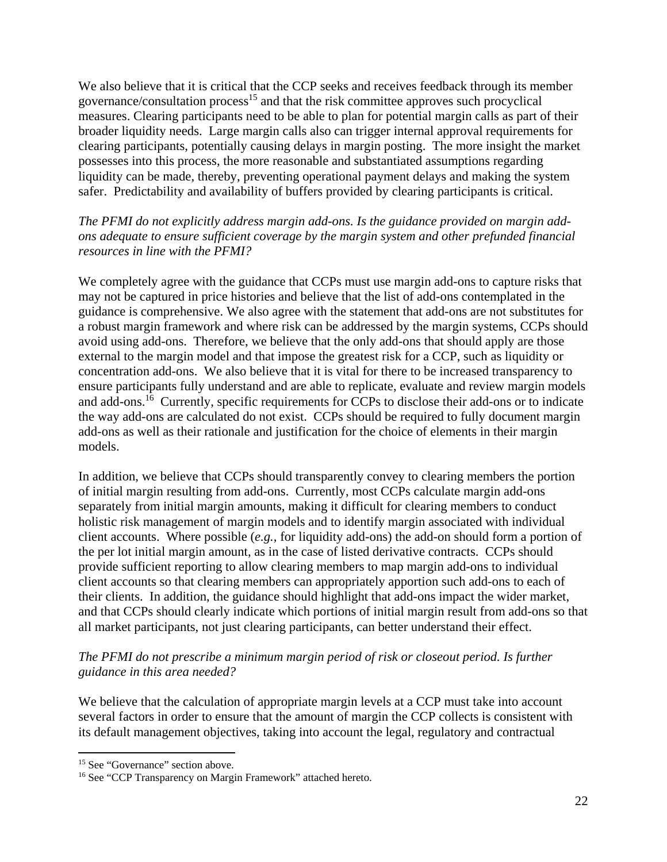We also believe that it is critical that the CCP seeks and receives feedback through its member governance/consultation process $15$  and that the risk committee approves such procyclical measures. Clearing participants need to be able to plan for potential margin calls as part of their broader liquidity needs. Large margin calls also can trigger internal approval requirements for clearing participants, potentially causing delays in margin posting. The more insight the market possesses into this process, the more reasonable and substantiated assumptions regarding liquidity can be made, thereby, preventing operational payment delays and making the system safer. Predictability and availability of buffers provided by clearing participants is critical.

### *The PFMI do not explicitly address margin add-ons. Is the guidance provided on margin addons adequate to ensure sufficient coverage by the margin system and other prefunded financial resources in line with the PFMI?*

We completely agree with the guidance that CCPs must use margin add-ons to capture risks that may not be captured in price histories and believe that the list of add-ons contemplated in the guidance is comprehensive. We also agree with the statement that add-ons are not substitutes for a robust margin framework and where risk can be addressed by the margin systems, CCPs should avoid using add-ons. Therefore, we believe that the only add-ons that should apply are those external to the margin model and that impose the greatest risk for a CCP, such as liquidity or concentration add-ons. We also believe that it is vital for there to be increased transparency to ensure participants fully understand and are able to replicate, evaluate and review margin models and add-ons.16 Currently, specific requirements for CCPs to disclose their add-ons or to indicate the way add-ons are calculated do not exist. CCPs should be required to fully document margin add-ons as well as their rationale and justification for the choice of elements in their margin models.

In addition, we believe that CCPs should transparently convey to clearing members the portion of initial margin resulting from add-ons. Currently, most CCPs calculate margin add-ons separately from initial margin amounts, making it difficult for clearing members to conduct holistic risk management of margin models and to identify margin associated with individual client accounts. Where possible (*e.g.,* for liquidity add-ons) the add-on should form a portion of the per lot initial margin amount, as in the case of listed derivative contracts. CCPs should provide sufficient reporting to allow clearing members to map margin add-ons to individual client accounts so that clearing members can appropriately apportion such add-ons to each of their clients. In addition, the guidance should highlight that add-ons impact the wider market, and that CCPs should clearly indicate which portions of initial margin result from add-ons so that all market participants, not just clearing participants, can better understand their effect.

### *The PFMI do not prescribe a minimum margin period of risk or closeout period. Is further guidance in this area needed?*

We believe that the calculation of appropriate margin levels at a CCP must take into account several factors in order to ensure that the amount of margin the CCP collects is consistent with its default management objectives, taking into account the legal, regulatory and contractual

 <sup>15</sup> See "Governance" section above.

<sup>16</sup> See "CCP Transparency on Margin Framework" attached hereto.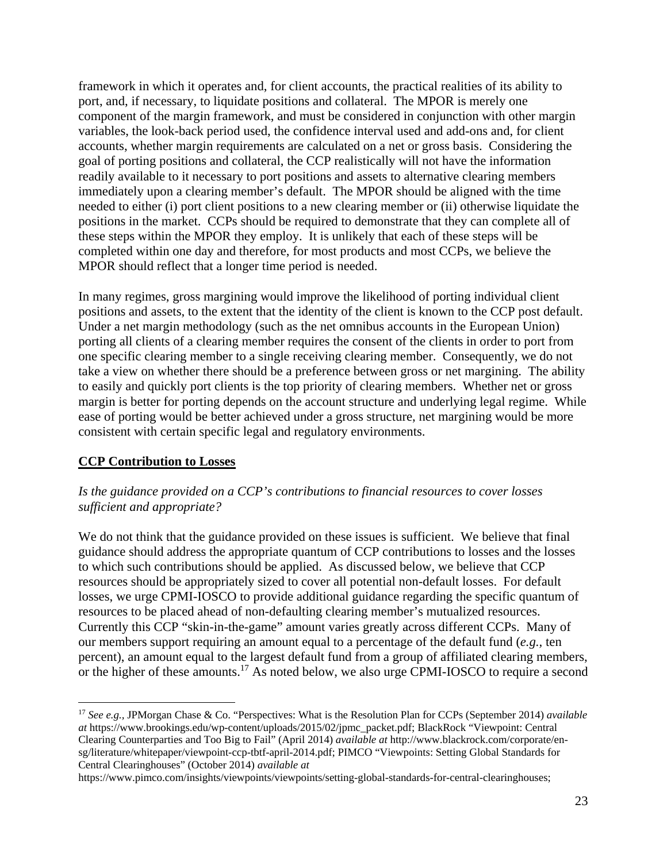framework in which it operates and, for client accounts, the practical realities of its ability to port, and, if necessary, to liquidate positions and collateral. The MPOR is merely one component of the margin framework, and must be considered in conjunction with other margin variables, the look-back period used, the confidence interval used and add-ons and, for client accounts, whether margin requirements are calculated on a net or gross basis. Considering the goal of porting positions and collateral, the CCP realistically will not have the information readily available to it necessary to port positions and assets to alternative clearing members immediately upon a clearing member's default. The MPOR should be aligned with the time needed to either (i) port client positions to a new clearing member or (ii) otherwise liquidate the positions in the market. CCPs should be required to demonstrate that they can complete all of these steps within the MPOR they employ. It is unlikely that each of these steps will be completed within one day and therefore, for most products and most CCPs, we believe the MPOR should reflect that a longer time period is needed.

In many regimes, gross margining would improve the likelihood of porting individual client positions and assets, to the extent that the identity of the client is known to the CCP post default. Under a net margin methodology (such as the net omnibus accounts in the European Union) porting all clients of a clearing member requires the consent of the clients in order to port from one specific clearing member to a single receiving clearing member. Consequently, we do not take a view on whether there should be a preference between gross or net margining. The ability to easily and quickly port clients is the top priority of clearing members. Whether net or gross margin is better for porting depends on the account structure and underlying legal regime. While ease of porting would be better achieved under a gross structure, net margining would be more consistent with certain specific legal and regulatory environments.

### **CCP Contribution to Losses**

#### *Is the guidance provided on a CCP's contributions to financial resources to cover losses sufficient and appropriate?*

We do not think that the guidance provided on these issues is sufficient. We believe that final guidance should address the appropriate quantum of CCP contributions to losses and the losses to which such contributions should be applied. As discussed below, we believe that CCP resources should be appropriately sized to cover all potential non-default losses. For default losses, we urge CPMI-IOSCO to provide additional guidance regarding the specific quantum of resources to be placed ahead of non-defaulting clearing member's mutualized resources. Currently this CCP "skin-in-the-game" amount varies greatly across different CCPs. Many of our members support requiring an amount equal to a percentage of the default fund (*e.g.,* ten percent), an amount equal to the largest default fund from a group of affiliated clearing members, or the higher of these amounts.<sup>17</sup> As noted below, we also urge CPMI-IOSCO to require a second

<sup>17</sup> *See e.g.,* JPMorgan Chase & Co. "Perspectives: What is the Resolution Plan for CCPs (September 2014) *available at* https://www.brookings.edu/wp-content/uploads/2015/02/jpmc\_packet.pdf; BlackRock "Viewpoint: Central Clearing Counterparties and Too Big to Fail" (April 2014) *available at* http://www.blackrock.com/corporate/ensg/literature/whitepaper/viewpoint-ccp-tbtf-april-2014.pdf; PIMCO "Viewpoints: Setting Global Standards for Central Clearinghouses" (October 2014) *available at* 

https://www.pimco.com/insights/viewpoints/viewpoints/setting-global-standards-for-central-clearinghouses;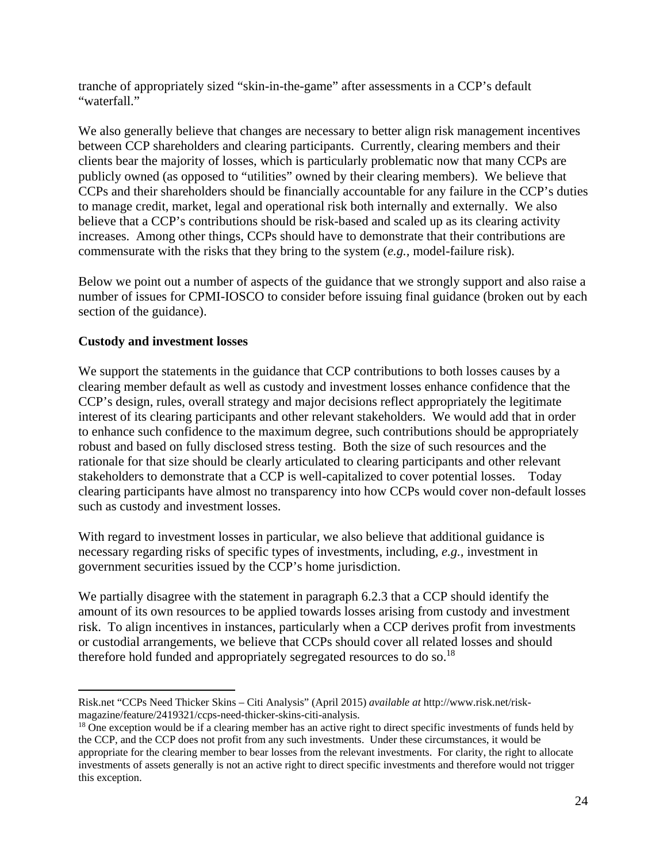tranche of appropriately sized "skin-in-the-game" after assessments in a CCP's default "waterfall."

We also generally believe that changes are necessary to better align risk management incentives between CCP shareholders and clearing participants. Currently, clearing members and their clients bear the majority of losses, which is particularly problematic now that many CCPs are publicly owned (as opposed to "utilities" owned by their clearing members). We believe that CCPs and their shareholders should be financially accountable for any failure in the CCP's duties to manage credit, market, legal and operational risk both internally and externally. We also believe that a CCP's contributions should be risk-based and scaled up as its clearing activity increases. Among other things, CCPs should have to demonstrate that their contributions are commensurate with the risks that they bring to the system (*e.g.,* model-failure risk).

Below we point out a number of aspects of the guidance that we strongly support and also raise a number of issues for CPMI-IOSCO to consider before issuing final guidance (broken out by each section of the guidance).

### **Custody and investment losses**

We support the statements in the guidance that CCP contributions to both losses causes by a clearing member default as well as custody and investment losses enhance confidence that the CCP's design, rules, overall strategy and major decisions reflect appropriately the legitimate interest of its clearing participants and other relevant stakeholders. We would add that in order to enhance such confidence to the maximum degree, such contributions should be appropriately robust and based on fully disclosed stress testing. Both the size of such resources and the rationale for that size should be clearly articulated to clearing participants and other relevant stakeholders to demonstrate that a CCP is well-capitalized to cover potential losses. Today clearing participants have almost no transparency into how CCPs would cover non-default losses such as custody and investment losses.

With regard to investment losses in particular, we also believe that additional guidance is necessary regarding risks of specific types of investments, including, *e.g.,* investment in government securities issued by the CCP's home jurisdiction.

We partially disagree with the statement in paragraph 6.2.3 that a CCP should identify the amount of its own resources to be applied towards losses arising from custody and investment risk. To align incentives in instances, particularly when a CCP derives profit from investments or custodial arrangements, we believe that CCPs should cover all related losses and should therefore hold funded and appropriately segregated resources to do so.<sup>18</sup>

 Risk.net "CCPs Need Thicker Skins – Citi Analysis" (April 2015) *available at* http://www.risk.net/riskmagazine/feature/2419321/ccps-need-thicker-skins-citi-analysis.

<sup>&</sup>lt;sup>18</sup> One exception would be if a clearing member has an active right to direct specific investments of funds held by the CCP, and the CCP does not profit from any such investments. Under these circumstances, it would be appropriate for the clearing member to bear losses from the relevant investments. For clarity, the right to allocate investments of assets generally is not an active right to direct specific investments and therefore would not trigger this exception.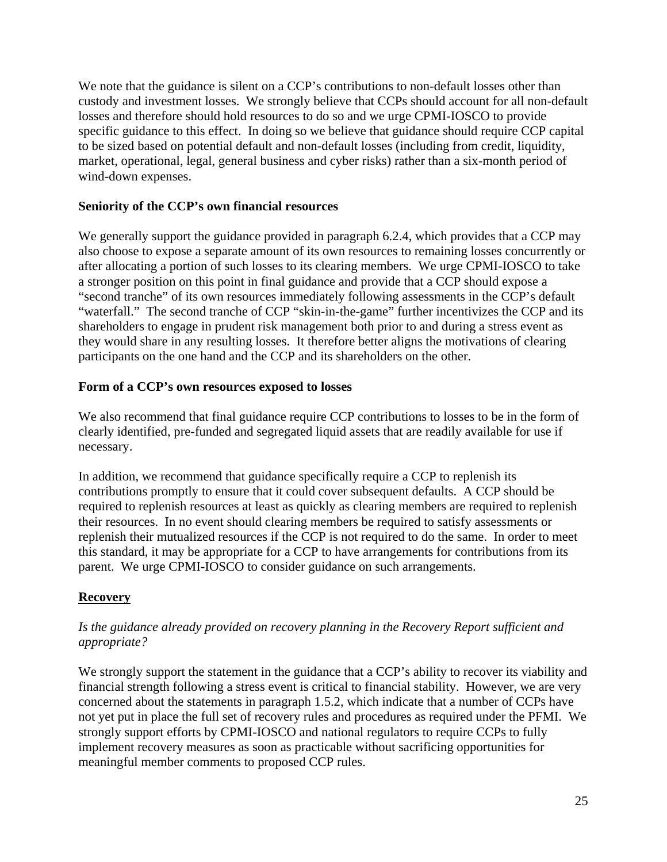We note that the guidance is silent on a CCP's contributions to non-default losses other than custody and investment losses. We strongly believe that CCPs should account for all non-default losses and therefore should hold resources to do so and we urge CPMI-IOSCO to provide specific guidance to this effect. In doing so we believe that guidance should require CCP capital to be sized based on potential default and non-default losses (including from credit, liquidity, market, operational, legal, general business and cyber risks) rather than a six-month period of wind-down expenses.

### **Seniority of the CCP's own financial resources**

We generally support the guidance provided in paragraph 6.2.4, which provides that a CCP may also choose to expose a separate amount of its own resources to remaining losses concurrently or after allocating a portion of such losses to its clearing members. We urge CPMI-IOSCO to take a stronger position on this point in final guidance and provide that a CCP should expose a "second tranche" of its own resources immediately following assessments in the CCP's default "waterfall." The second tranche of CCP "skin-in-the-game" further incentivizes the CCP and its shareholders to engage in prudent risk management both prior to and during a stress event as they would share in any resulting losses. It therefore better aligns the motivations of clearing participants on the one hand and the CCP and its shareholders on the other.

### **Form of a CCP's own resources exposed to losses**

We also recommend that final guidance require CCP contributions to losses to be in the form of clearly identified, pre-funded and segregated liquid assets that are readily available for use if necessary.

In addition, we recommend that guidance specifically require a CCP to replenish its contributions promptly to ensure that it could cover subsequent defaults. A CCP should be required to replenish resources at least as quickly as clearing members are required to replenish their resources. In no event should clearing members be required to satisfy assessments or replenish their mutualized resources if the CCP is not required to do the same. In order to meet this standard, it may be appropriate for a CCP to have arrangements for contributions from its parent. We urge CPMI-IOSCO to consider guidance on such arrangements.

# **Recovery**

### *Is the guidance already provided on recovery planning in the Recovery Report sufficient and appropriate?*

We strongly support the statement in the guidance that a CCP's ability to recover its viability and financial strength following a stress event is critical to financial stability. However, we are very concerned about the statements in paragraph 1.5.2, which indicate that a number of CCPs have not yet put in place the full set of recovery rules and procedures as required under the PFMI. We strongly support efforts by CPMI-IOSCO and national regulators to require CCPs to fully implement recovery measures as soon as practicable without sacrificing opportunities for meaningful member comments to proposed CCP rules.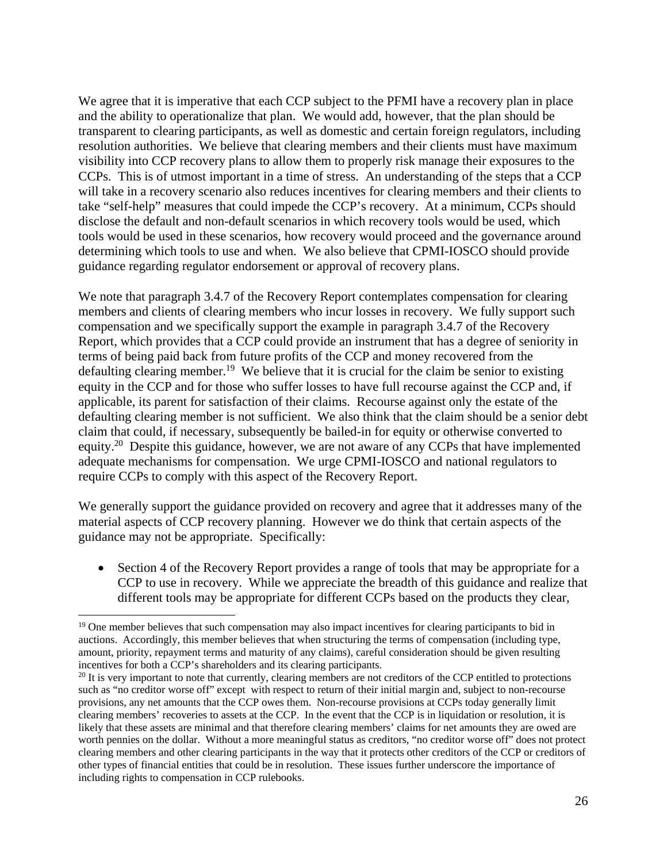We agree that it is imperative that each CCP subject to the PFMI have a recovery plan in place and the ability to operationalize that plan. We would add, however, that the plan should be transparent to clearing participants, as well as domestic and certain foreign regulators, including resolution authorities. We believe that clearing members and their clients must have maximum visibility into CCP recovery plans to allow them to properly risk manage their exposures to the CCPs. This is of utmost important in a time of stress. An understanding of the steps that a CCP will take in a recovery scenario also reduces incentives for clearing members and their clients to take "self-help" measures that could impede the CCP's recovery. At a minimum, CCPs should disclose the default and non-default scenarios in which recovery tools would be used, which tools would be used in these scenarios, how recovery would proceed and the governance around determining which tools to use and when. We also believe that CPMI-IOSCO should provide guidance regarding regulator endorsement or approval of recovery plans.

We note that paragraph 3.4.7 of the Recovery Report contemplates compensation for clearing members and clients of clearing members who incur losses in recovery. We fully support such compensation and we specifically support the example in paragraph 3.4.7 of the Recovery Report, which provides that a CCP could provide an instrument that has a degree of seniority in terms of being paid back from future profits of the CCP and money recovered from the defaulting clearing member.<sup>19</sup> We believe that it is crucial for the claim be senior to existing equity in the CCP and for those who suffer losses to have full recourse against the CCP and, if applicable, its parent for satisfaction of their claims. Recourse against only the estate of the defaulting clearing member is not sufficient. We also think that the claim should be a senior debt claim that could, if necessary, subsequently be bailed-in for equity or otherwise converted to equity.<sup>20</sup> Despite this guidance, however, we are not aware of any CCPs that have implemented adequate mechanisms for compensation. We urge CPMI-IOSCO and national regulators to require CCPs to comply with this aspect of the Recovery Report.

We generally support the guidance provided on recovery and agree that it addresses many of the material aspects of CCP recovery planning. However we do think that certain aspects of the guidance may not be appropriate. Specifically:

• Section 4 of the Recovery Report provides a range of tools that may be appropriate for a CCP to use in recovery. While we appreciate the breadth of this guidance and realize that different tools may be appropriate for different CCPs based on the products they clear,

 <sup>19</sup> One member believes that such compensation may also impact incentives for clearing participants to bid in auctions. Accordingly, this member believes that when structuring the terms of compensation (including type, amount, priority, repayment terms and maturity of any claims), careful consideration should be given resulting incentives for both a CCP's shareholders and its clearing participants.<br><sup>20</sup> It is very important to note that currently, clearing members are not creditors of the CCP entitled to protections

such as "no creditor worse off" except with respect to return of their initial margin and, subject to non-recourse provisions, any net amounts that the CCP owes them. Non-recourse provisions at CCPs today generally limit clearing members' recoveries to assets at the CCP. In the event that the CCP is in liquidation or resolution, it is likely that these assets are minimal and that therefore clearing members' claims for net amounts they are owed are worth pennies on the dollar. Without a more meaningful status as creditors, "no creditor worse off" does not protect clearing members and other clearing participants in the way that it protects other creditors of the CCP or creditors of other types of financial entities that could be in resolution. These issues further underscore the importance of including rights to compensation in CCP rulebooks.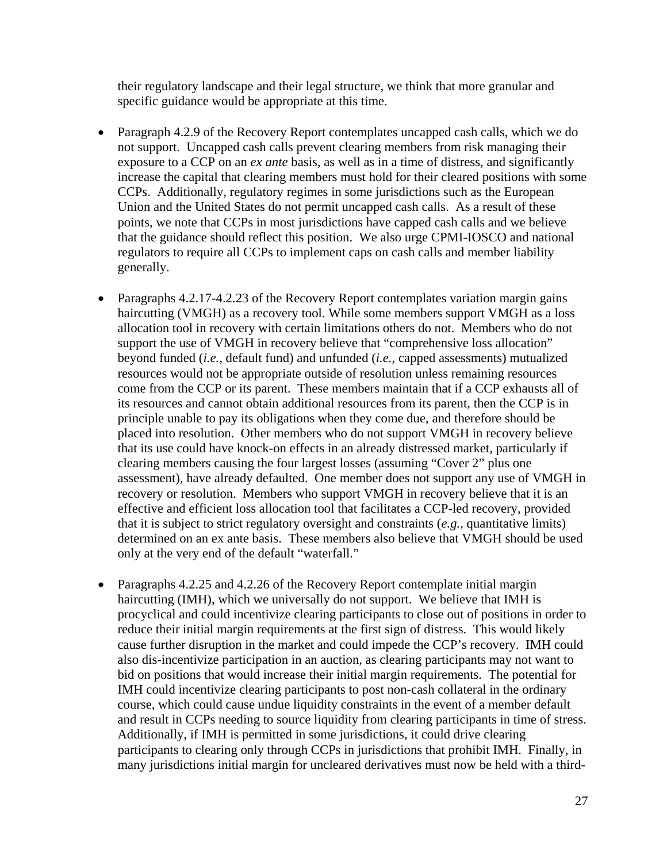their regulatory landscape and their legal structure, we think that more granular and specific guidance would be appropriate at this time.

- Paragraph 4.2.9 of the Recovery Report contemplates uncapped cash calls, which we do not support. Uncapped cash calls prevent clearing members from risk managing their exposure to a CCP on an *ex ante* basis, as well as in a time of distress, and significantly increase the capital that clearing members must hold for their cleared positions with some CCPs. Additionally, regulatory regimes in some jurisdictions such as the European Union and the United States do not permit uncapped cash calls. As a result of these points, we note that CCPs in most jurisdictions have capped cash calls and we believe that the guidance should reflect this position. We also urge CPMI-IOSCO and national regulators to require all CCPs to implement caps on cash calls and member liability generally.
- Paragraphs 4.2.17-4.2.23 of the Recovery Report contemplates variation margin gains haircutting (VMGH) as a recovery tool. While some members support VMGH as a loss allocation tool in recovery with certain limitations others do not. Members who do not support the use of VMGH in recovery believe that "comprehensive loss allocation" beyond funded (*i.e.,* default fund) and unfunded (*i.e.,* capped assessments) mutualized resources would not be appropriate outside of resolution unless remaining resources come from the CCP or its parent. These members maintain that if a CCP exhausts all of its resources and cannot obtain additional resources from its parent, then the CCP is in principle unable to pay its obligations when they come due, and therefore should be placed into resolution. Other members who do not support VMGH in recovery believe that its use could have knock-on effects in an already distressed market, particularly if clearing members causing the four largest losses (assuming "Cover 2" plus one assessment), have already defaulted. One member does not support any use of VMGH in recovery or resolution. Members who support VMGH in recovery believe that it is an effective and efficient loss allocation tool that facilitates a CCP-led recovery, provided that it is subject to strict regulatory oversight and constraints (*e.g.,* quantitative limits) determined on an ex ante basis. These members also believe that VMGH should be used only at the very end of the default "waterfall."
- Paragraphs 4.2.25 and 4.2.26 of the Recovery Report contemplate initial margin haircutting (IMH), which we universally do not support. We believe that IMH is procyclical and could incentivize clearing participants to close out of positions in order to reduce their initial margin requirements at the first sign of distress. This would likely cause further disruption in the market and could impede the CCP's recovery. IMH could also dis-incentivize participation in an auction, as clearing participants may not want to bid on positions that would increase their initial margin requirements. The potential for IMH could incentivize clearing participants to post non-cash collateral in the ordinary course, which could cause undue liquidity constraints in the event of a member default and result in CCPs needing to source liquidity from clearing participants in time of stress. Additionally, if IMH is permitted in some jurisdictions, it could drive clearing participants to clearing only through CCPs in jurisdictions that prohibit IMH. Finally, in many jurisdictions initial margin for uncleared derivatives must now be held with a third-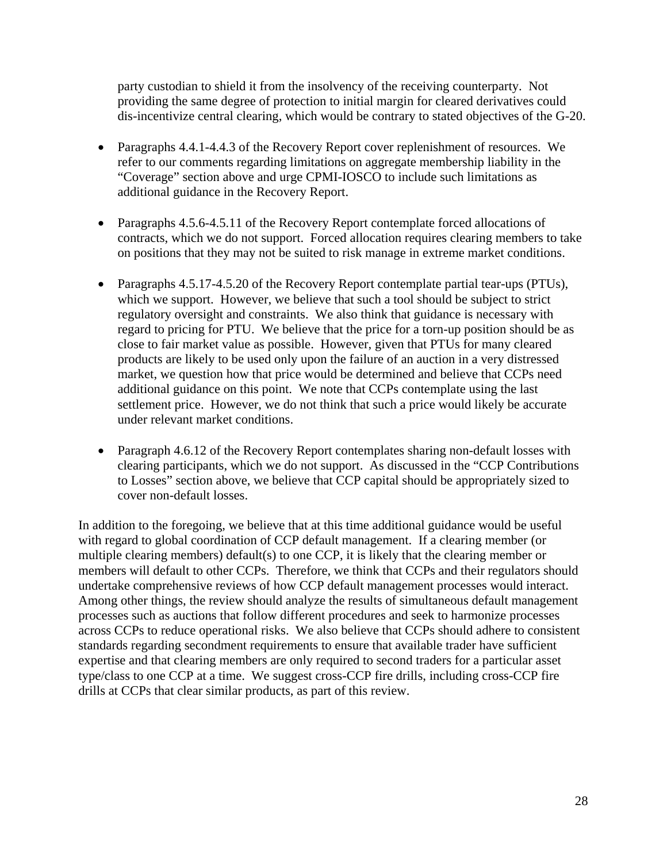party custodian to shield it from the insolvency of the receiving counterparty. Not providing the same degree of protection to initial margin for cleared derivatives could dis-incentivize central clearing, which would be contrary to stated objectives of the G-20.

- Paragraphs 4.4.1-4.4.3 of the Recovery Report cover replenishment of resources. We refer to our comments regarding limitations on aggregate membership liability in the "Coverage" section above and urge CPMI-IOSCO to include such limitations as additional guidance in the Recovery Report.
- Paragraphs 4.5.6-4.5.11 of the Recovery Report contemplate forced allocations of contracts, which we do not support. Forced allocation requires clearing members to take on positions that they may not be suited to risk manage in extreme market conditions.
- Paragraphs 4.5.17-4.5.20 of the Recovery Report contemplate partial tear-ups (PTUs), which we support. However, we believe that such a tool should be subject to strict regulatory oversight and constraints. We also think that guidance is necessary with regard to pricing for PTU. We believe that the price for a torn-up position should be as close to fair market value as possible. However, given that PTUs for many cleared products are likely to be used only upon the failure of an auction in a very distressed market, we question how that price would be determined and believe that CCPs need additional guidance on this point. We note that CCPs contemplate using the last settlement price. However, we do not think that such a price would likely be accurate under relevant market conditions.
- Paragraph 4.6.12 of the Recovery Report contemplates sharing non-default losses with clearing participants, which we do not support. As discussed in the "CCP Contributions to Losses" section above, we believe that CCP capital should be appropriately sized to cover non-default losses.

In addition to the foregoing, we believe that at this time additional guidance would be useful with regard to global coordination of CCP default management. If a clearing member (or multiple clearing members) default(s) to one CCP, it is likely that the clearing member or members will default to other CCPs. Therefore, we think that CCPs and their regulators should undertake comprehensive reviews of how CCP default management processes would interact. Among other things, the review should analyze the results of simultaneous default management processes such as auctions that follow different procedures and seek to harmonize processes across CCPs to reduce operational risks. We also believe that CCPs should adhere to consistent standards regarding secondment requirements to ensure that available trader have sufficient expertise and that clearing members are only required to second traders for a particular asset type/class to one CCP at a time. We suggest cross-CCP fire drills, including cross-CCP fire drills at CCPs that clear similar products, as part of this review.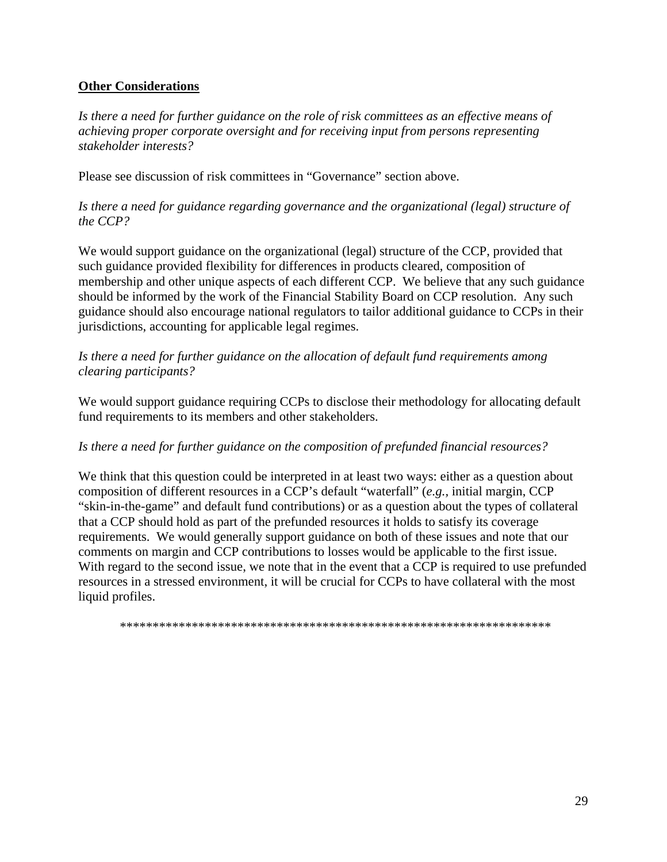### **Other Considerations**

*Is there a need for further guidance on the role of risk committees as an effective means of achieving proper corporate oversight and for receiving input from persons representing stakeholder interests?* 

Please see discussion of risk committees in "Governance" section above.

*Is there a need for guidance regarding governance and the organizational (legal) structure of the CCP?* 

We would support guidance on the organizational (legal) structure of the CCP, provided that such guidance provided flexibility for differences in products cleared, composition of membership and other unique aspects of each different CCP. We believe that any such guidance should be informed by the work of the Financial Stability Board on CCP resolution. Any such guidance should also encourage national regulators to tailor additional guidance to CCPs in their jurisdictions, accounting for applicable legal regimes.

*Is there a need for further guidance on the allocation of default fund requirements among clearing participants?* 

We would support guidance requiring CCPs to disclose their methodology for allocating default fund requirements to its members and other stakeholders.

#### *Is there a need for further guidance on the composition of prefunded financial resources?*

We think that this question could be interpreted in at least two ways: either as a question about composition of different resources in a CCP's default "waterfall" (*e.g.,* initial margin, CCP "skin-in-the-game" and default fund contributions) or as a question about the types of collateral that a CCP should hold as part of the prefunded resources it holds to satisfy its coverage requirements. We would generally support guidance on both of these issues and note that our comments on margin and CCP contributions to losses would be applicable to the first issue. With regard to the second issue, we note that in the event that a CCP is required to use prefunded resources in a stressed environment, it will be crucial for CCPs to have collateral with the most liquid profiles.

*\*\*\*\*\*\*\*\*\*\*\*\*\*\*\*\*\*\*\*\*\*\*\*\*\*\*\*\*\*\*\*\*\*\*\*\*\*\*\*\*\*\*\*\*\*\*\*\*\*\*\*\*\*\*\*\*\*\*\*\*\*\*\*\*\*\**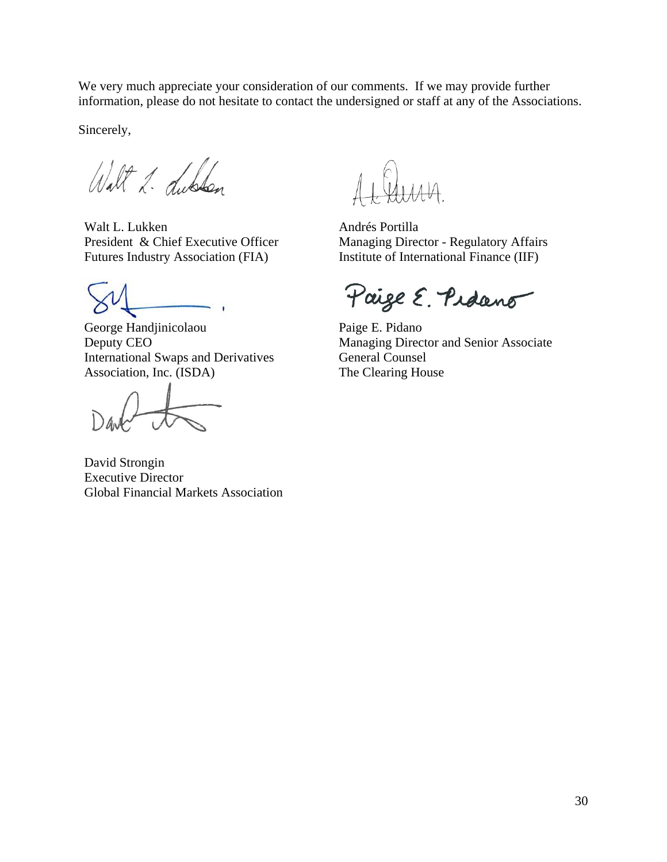We very much appreciate your consideration of our comments. If we may provide further information, please do not hesitate to contact the undersigned or staff at any of the Associations.

Sincerely,

Walt 2. Lublon

Walt L. Lukken President & Chief Executive Officer Futures Industry Association (FIA)

George Handjinicolaou Deputy CEO International Swaps and Derivatives Association, Inc. (ISDA)

David Strongin Executive Director Global Financial Markets Association

 $\mu\mu\mu$ 

Andrés Portilla Managing Director - Regulatory Affairs Institute of International Finance (IIF)

Paige E. Pidano

Paige E. Pidano Managing Director and Senior Associate General Counsel The Clearing House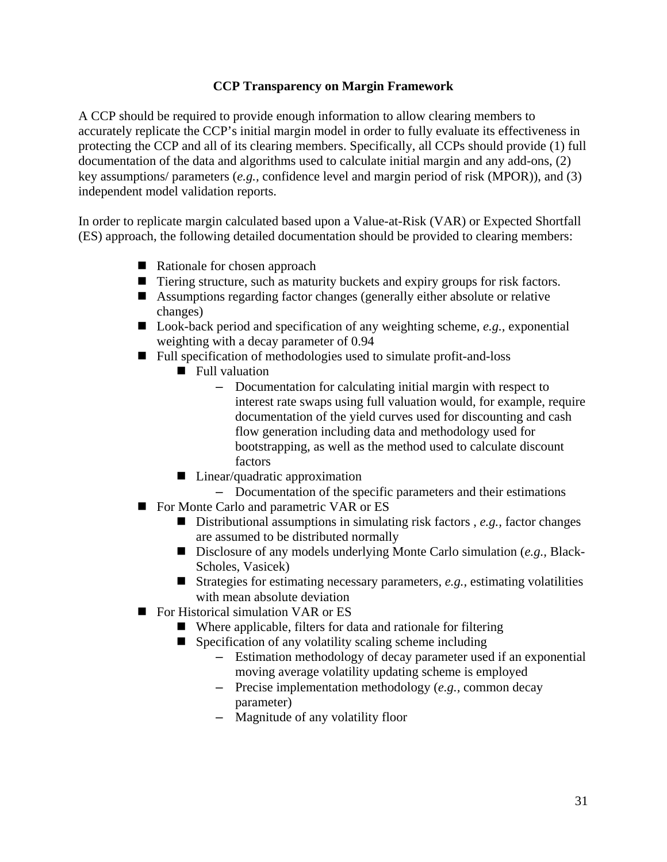### **CCP Transparency on Margin Framework**

A CCP should be required to provide enough information to allow clearing members to accurately replicate the CCP's initial margin model in order to fully evaluate its effectiveness in protecting the CCP and all of its clearing members. Specifically, all CCPs should provide (1) full documentation of the data and algorithms used to calculate initial margin and any add-ons, (2) key assumptions/ parameters (*e.g.,* confidence level and margin period of risk (MPOR)), and (3) independent model validation reports.

In order to replicate margin calculated based upon a Value-at-Risk (VAR) or Expected Shortfall (ES) approach, the following detailed documentation should be provided to clearing members:

- Rationale for chosen approach
- Tiering structure, such as maturity buckets and expiry groups for risk factors.
- Assumptions regarding factor changes (generally either absolute or relative changes)
- Look-back period and specification of any weighting scheme, *e.g.*, exponential weighting with a decay parameter of 0.94
- Full specification of methodologies used to simulate profit-and-loss
	- **Full valuation** 
		- Documentation for calculating initial margin with respect to interest rate swaps using full valuation would, for example, require documentation of the yield curves used for discounting and cash flow generation including data and methodology used for bootstrapping, as well as the method used to calculate discount factors
	- Linear/quadratic approximation
		- Documentation of the specific parameters and their estimations
- For Monte Carlo and parametric VAR or ES
	- Distributional assumptions in simulating risk factors, *e.g.*, factor changes are assumed to be distributed normally
	- Disclosure of any models underlying Monte Carlo simulation (*e.g.*, Black-Scholes, Vasicek)
	- Strategies for estimating necessary parameters, *e.g.*, estimating volatilities with mean absolute deviation
- For Historical simulation VAR or ES
	- Where applicable, filters for data and rationale for filtering
	- $\blacksquare$  Specification of any volatility scaling scheme including
		- Estimation methodology of decay parameter used if an exponential moving average volatility updating scheme is employed
		- Precise implementation methodology (*e.g.,* common decay parameter)
		- Magnitude of any volatility floor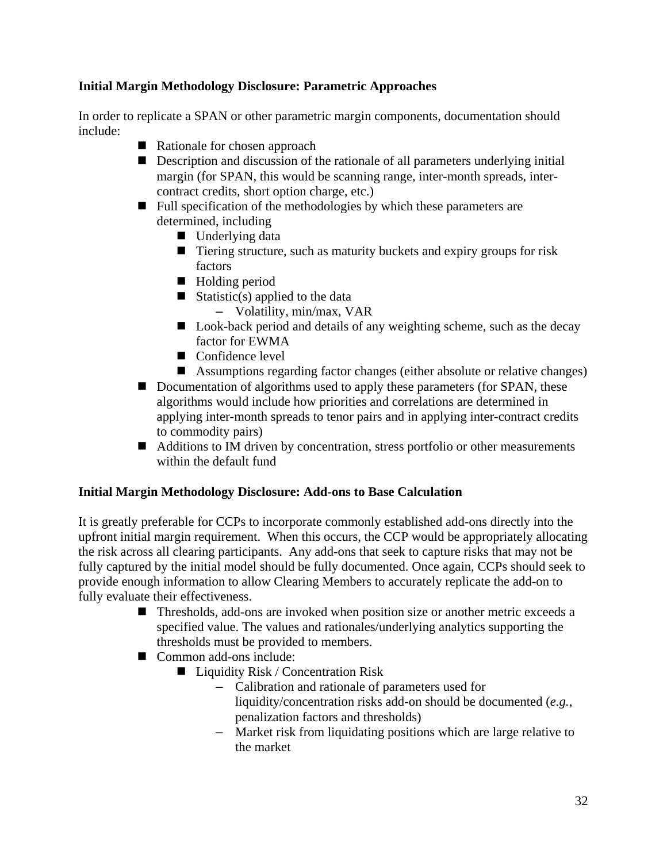### **Initial Margin Methodology Disclosure: Parametric Approaches**

In order to replicate a SPAN or other parametric margin components, documentation should include:

- Rationale for chosen approach
- **Description and discussion of the rationale of all parameters underlying initial** margin (for SPAN, this would be scanning range, inter-month spreads, intercontract credits, short option charge, etc.)
- $\blacksquare$  Full specification of the methodologies by which these parameters are determined, including
	- Underlying data
	- Tiering structure, such as maturity buckets and expiry groups for risk factors
	- Holding period
	- Statistic(s) applied to the data
		- Volatility, min/max, VAR
	- Look-back period and details of any weighting scheme, such as the decay factor for EWMA
	- Confidence level
	- Assumptions regarding factor changes (either absolute or relative changes)
- Documentation of algorithms used to apply these parameters (for SPAN, these algorithms would include how priorities and correlations are determined in applying inter-month spreads to tenor pairs and in applying inter-contract credits to commodity pairs)
- Additions to IM driven by concentration, stress portfolio or other measurements within the default fund

### **Initial Margin Methodology Disclosure: Add-ons to Base Calculation**

It is greatly preferable for CCPs to incorporate commonly established add-ons directly into the upfront initial margin requirement. When this occurs, the CCP would be appropriately allocating the risk across all clearing participants. Any add-ons that seek to capture risks that may not be fully captured by the initial model should be fully documented. Once again, CCPs should seek to provide enough information to allow Clearing Members to accurately replicate the add-on to fully evaluate their effectiveness.

- Thresholds, add-ons are invoked when position size or another metric exceeds a specified value. The values and rationales/underlying analytics supporting the thresholds must be provided to members.
- Common add-ons include:
	- $\blacksquare$  Liquidity Risk / Concentration Risk
		- Calibration and rationale of parameters used for liquidity/concentration risks add-on should be documented (*e.g.,*  penalization factors and thresholds)
		- Market risk from liquidating positions which are large relative to the market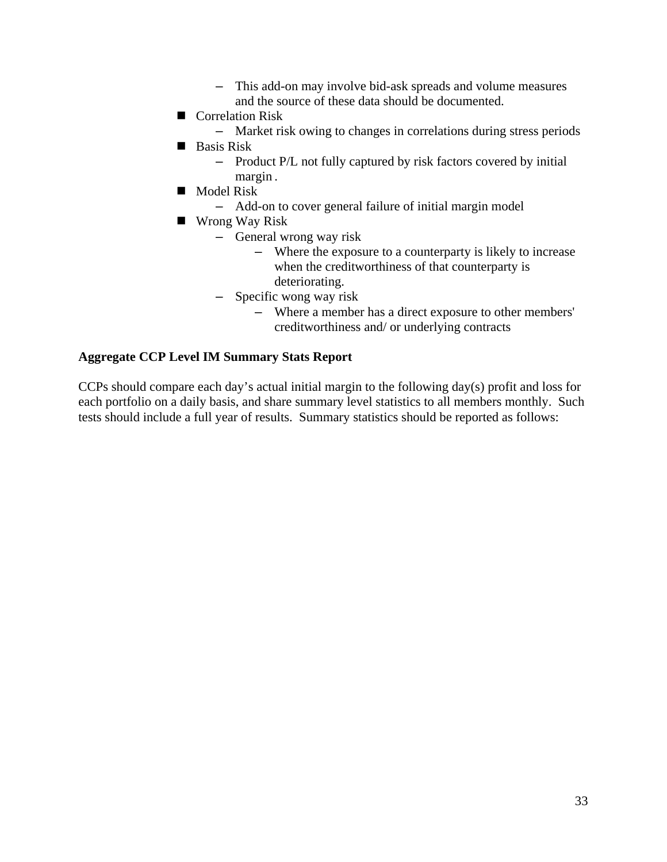- This add-on may involve bid-ask spreads and volume measures and the source of these data should be documented.
- Correlation Risk
	- Market risk owing to changes in correlations during stress periods
- **Basis Risk** 
	- Product P/L not fully captured by risk factors covered by initial margin .
- **Model Risk** 
	- Add-on to cover general failure of initial margin model
- Wrong Way Risk
	- General wrong way risk
		- Where the exposure to a counterparty is likely to increase when the creditworthiness of that counterparty is deteriorating.
	- Specific wong way risk
		- Where a member has a direct exposure to other members' creditworthiness and/ or underlying contracts

#### **Aggregate CCP Level IM Summary Stats Report**

CCPs should compare each day's actual initial margin to the following day(s) profit and loss for each portfolio on a daily basis, and share summary level statistics to all members monthly. Such tests should include a full year of results. Summary statistics should be reported as follows: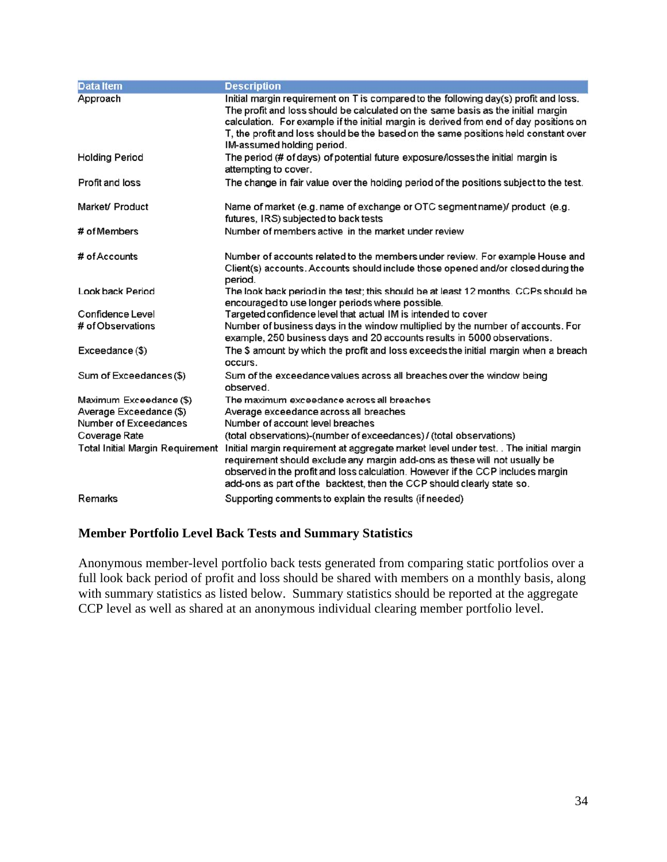| <b>Data Item</b>                        | <b>Description</b>                                                                                                                                                                                                                                                                                                                                                                      |
|-----------------------------------------|-----------------------------------------------------------------------------------------------------------------------------------------------------------------------------------------------------------------------------------------------------------------------------------------------------------------------------------------------------------------------------------------|
| Approach                                | Initial margin requirement on T is compared to the following day(s) profit and loss.<br>The profit and loss should be calculated on the same basis as the initial margin<br>calculation. For example if the initial margin is derived from end of day positions on<br>T, the profit and loss should be the based on the same positions held constant over<br>IM-assumed holding period. |
| <b>Holding Period</b>                   | The period (# of days) of potential future exposure/losses the initial margin is<br>attempting to cover.                                                                                                                                                                                                                                                                                |
| Profit and loss                         | The change in fair value over the holding period of the positions subject to the test.                                                                                                                                                                                                                                                                                                  |
| Market/ Product                         | Name of market (e.g. name of exchange or OTC segment name)/ product (e.g.<br>futures, IRS) subjected to back tests                                                                                                                                                                                                                                                                      |
| # of Members                            | Number of members active in the market under review                                                                                                                                                                                                                                                                                                                                     |
| # of Accounts                           | Number of accounts related to the members under review. For example House and<br>Client(s) accounts. Accounts should include those opened and/or closed during the<br>period.                                                                                                                                                                                                           |
| Look back Period                        | The look back period in the test; this should be at least 12 months. CCPs should be<br>encouraged to use longer periods where possible.                                                                                                                                                                                                                                                 |
| Confidence Level                        | Targeted confidence level that actual IM is intended to cover                                                                                                                                                                                                                                                                                                                           |
| # of Observations                       | Number of business days in the window multiplied by the number of accounts. For<br>example, 250 business days and 20 accounts results in 5000 observations.                                                                                                                                                                                                                             |
| Exceedance (\$)                         | The \$ amount by which the profit and loss exceeds the initial margin when a breach<br>occurs.                                                                                                                                                                                                                                                                                          |
| Sum of Exceedances (\$)                 | Sum of the exceedance values across all breaches over the window being<br>observed.                                                                                                                                                                                                                                                                                                     |
| Maximum Exceedance (\$)                 | The maximum exceedance across all breaches                                                                                                                                                                                                                                                                                                                                              |
| Average Exceedance (\$)                 | Average exceedance across all breaches                                                                                                                                                                                                                                                                                                                                                  |
| Number of Exceedances                   | Number of account level breaches                                                                                                                                                                                                                                                                                                                                                        |
| Coverage Rate                           | (total observations)-(number of exceedances) / (total observations)                                                                                                                                                                                                                                                                                                                     |
| <b>Total Initial Margin Requirement</b> | Initial margin requirement at aggregate market level under test. . The initial margin<br>requirement should exclude any margin add-ons as these will not usually be<br>observed in the profit and loss calculation. However if the CCP includes margin<br>add-ons as part of the backtest, then the CCP should clearly state so.                                                        |
| Remarks                                 | Supporting comments to explain the results (if needed)                                                                                                                                                                                                                                                                                                                                  |

#### **Member Portfolio Level Back Tests and Summary Statistics**

Anonymous member-level portfolio back tests generated from comparing static portfolios over a full look back period of profit and loss should be shared with members on a monthly basis, along with summary statistics as listed below. Summary statistics should be reported at the aggregate CCP level as well as shared at an anonymous individual clearing member portfolio level.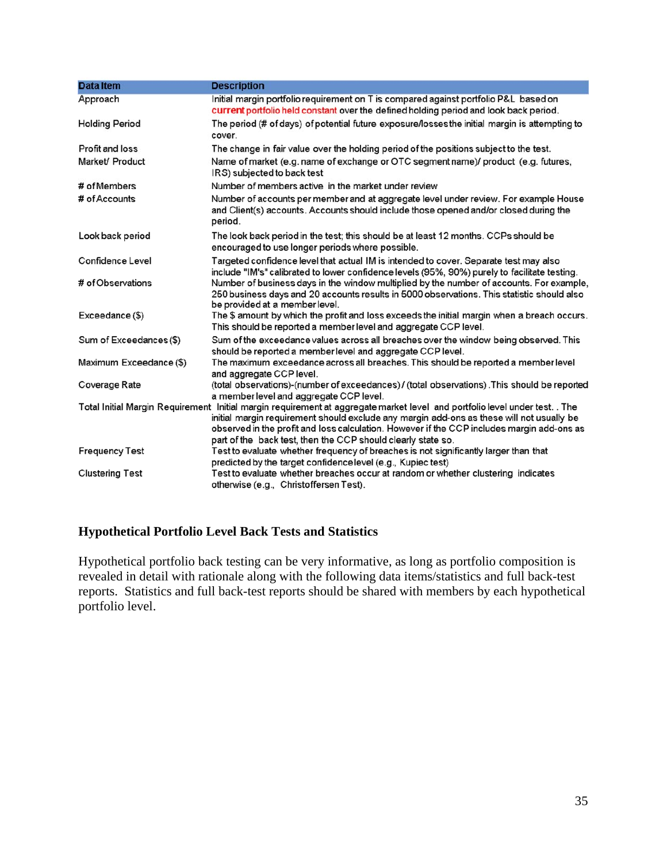| <b>Data Item</b>        | <b>Description</b>                                                                                                                                                                                                                                                                                                                                                                     |
|-------------------------|----------------------------------------------------------------------------------------------------------------------------------------------------------------------------------------------------------------------------------------------------------------------------------------------------------------------------------------------------------------------------------------|
| Approach                | Initial margin portfolio requirement on T is compared against portfolio P&L based on<br>current portfolio held constant over the defined holding period and look back period.                                                                                                                                                                                                          |
| <b>Holding Period</b>   | The period (# of days) of potential future exposure/losses the initial margin is attempting to<br>cover.                                                                                                                                                                                                                                                                               |
| Profit and loss         | The change in fair value over the holding period of the positions subject to the test.                                                                                                                                                                                                                                                                                                 |
| Market/ Product         | Name of market (e.g. name of exchange or OTC segment name)/ product (e.g. futures,<br>IRS) subjected to back test                                                                                                                                                                                                                                                                      |
| # of Members            | Number of members active in the market under review                                                                                                                                                                                                                                                                                                                                    |
| # of Accounts           | Number of accounts per member and at aggregate level under review. For example House<br>and Client(s) accounts. Accounts should include those opened and/or closed during the<br>period.                                                                                                                                                                                               |
| Look back period        | The look back period in the test; this should be at least 12 months. CCPs should be<br>encouraged to use longer periods where possible.                                                                                                                                                                                                                                                |
| Confidence Level        | Targeted confidence level that actual IM is intended to cover. Separate test may also<br>include "IM's" calibrated to lower confidence levels (95%, 90%) purely to facilitate testing.                                                                                                                                                                                                 |
| # of Observations       | Number of business days in the window multiplied by the number of accounts. For example,<br>250 business days and 20 accounts results in 5000 observations. This statistic should also<br>be provided at a member level.                                                                                                                                                               |
| Exceedance (\$)         | The \$ amount by which the profit and loss exceeds the initial margin when a breach occurs.<br>This should be reported a member level and aggregate CCP level.                                                                                                                                                                                                                         |
| Sum of Exceedances (\$) | Sum of the exceedance values across all breaches over the window being observed. This<br>should be reported a member level and aggregate CCP level.                                                                                                                                                                                                                                    |
| Maximum Exceedance (\$) | The maximum exceedance across all breaches. This should be reported a member level<br>and aggregate CCP level.                                                                                                                                                                                                                                                                         |
| Coverage Rate           | (total observations)-(number of exceedances) / (total observations) .This should be reported<br>a member level and aggregate CCP level.                                                                                                                                                                                                                                                |
|                         | Total Initial Margin Requirement Initial margin requirement at aggregate market level and portfolio level under test. . The<br>initial margin requirement should exclude any margin add-ons as these will not usually be<br>observed in the profit and loss calculation. However if the CCP includes margin add-ons as<br>part of the back test, then the CCP should clearly state so. |
| <b>Frequency Test</b>   | Test to evaluate whether frequency of breaches is not significantly larger than that<br>predicted by the target confidence level (e.g., Kupiec test)                                                                                                                                                                                                                                   |
| <b>Clustering Test</b>  | Test to evaluate whether breaches occur at random or whether clustering indicates<br>otherwise (e.g., Christoffersen Test).                                                                                                                                                                                                                                                            |

# **Hypothetical Portfolio Level Back Tests and Statistics**

Hypothetical portfolio back testing can be very informative, as long as portfolio composition is revealed in detail with rationale along with the following data items/statistics and full back-test reports. Statistics and full back-test reports should be shared with members by each hypothetical portfolio level.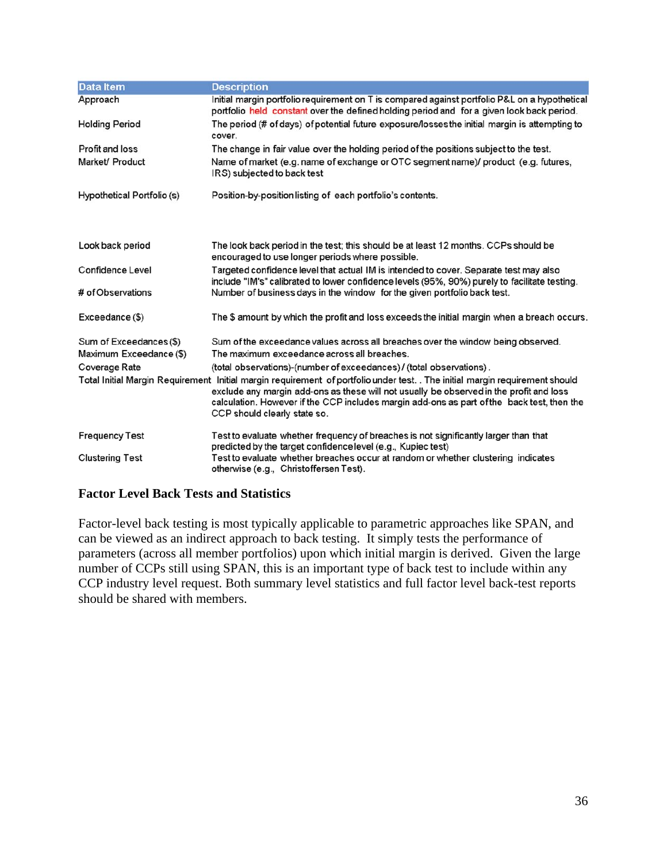| <b>Data Item</b>           | <b>Description</b>                                                                                                                                                                                                                                                                                                                                   |
|----------------------------|------------------------------------------------------------------------------------------------------------------------------------------------------------------------------------------------------------------------------------------------------------------------------------------------------------------------------------------------------|
| Approach                   | Initial margin portfolio requirement on T is compared against portfolio P&L on a hypothetical<br>portfolio held constant over the defined holding period and for a given look back period.                                                                                                                                                           |
| <b>Holding Period</b>      | The period (# of days) of potential future exposure/losses the initial margin is attempting to<br>cover.                                                                                                                                                                                                                                             |
| Profit and loss            | The change in fair value over the holding period of the positions subject to the test.                                                                                                                                                                                                                                                               |
| Market/ Product            | Name of market (e.g. name of exchange or OTC segment name)/ product (e.g. futures,<br>IRS) subjected to back test                                                                                                                                                                                                                                    |
| Hypothetical Portfolio (s) | Position-by-position listing of each portfolio's contents.                                                                                                                                                                                                                                                                                           |
|                            |                                                                                                                                                                                                                                                                                                                                                      |
| Look back period           | The look back period in the test; this should be at least 12 months. CCPs should be<br>encouraged to use longer periods where possible.                                                                                                                                                                                                              |
| Confidence Level           | Targeted confidence level that actual IM is intended to cover. Separate test may also<br>include "IM's" calibrated to lower confidence levels (95%, 90%) purely to facilitate testing.                                                                                                                                                               |
| # of Observations          | Number of business days in the window for the given portfolio back test.                                                                                                                                                                                                                                                                             |
| Exceedance (\$)            | The \$ amount by which the profit and loss exceeds the initial margin when a breach occurs.                                                                                                                                                                                                                                                          |
| Sum of Exceedances (\$)    | Sum of the exceedance values across all breaches over the window being observed.                                                                                                                                                                                                                                                                     |
| Maximum Exceedance (\$)    | The maximum exceedance across all breaches.                                                                                                                                                                                                                                                                                                          |
| Coverage Rate              | (total observations)-(number of exceedances) / (total observations).                                                                                                                                                                                                                                                                                 |
|                            | Total Initial Margin Requirement Initial margin requirement of portfoliounder test. . The initial margin requirement should<br>exclude any margin add-ons as these will not usually be observed in the profit and loss<br>calculation. However if the CCP includes margin add-ons as part of the back test, then the<br>CCP should clearly state so. |
| <b>Frequency Test</b>      | Test to evaluate whether frequency of breaches is not significantly larger than that<br>predicted by the target confidence level (e.g., Kupiec test)                                                                                                                                                                                                 |
| <b>Clustering Test</b>     | Test to evaluate whether breaches occur at random or whether clustering indicates<br>otherwise (e.g., Christoffersen Test).                                                                                                                                                                                                                          |

### **Factor Level Back Tests and Statistics**

Factor-level back testing is most typically applicable to parametric approaches like SPAN, and can be viewed as an indirect approach to back testing. It simply tests the performance of parameters (across all member portfolios) upon which initial margin is derived. Given the large number of CCPs still using SPAN, this is an important type of back test to include within any CCP industry level request. Both summary level statistics and full factor level back-test reports should be shared with members.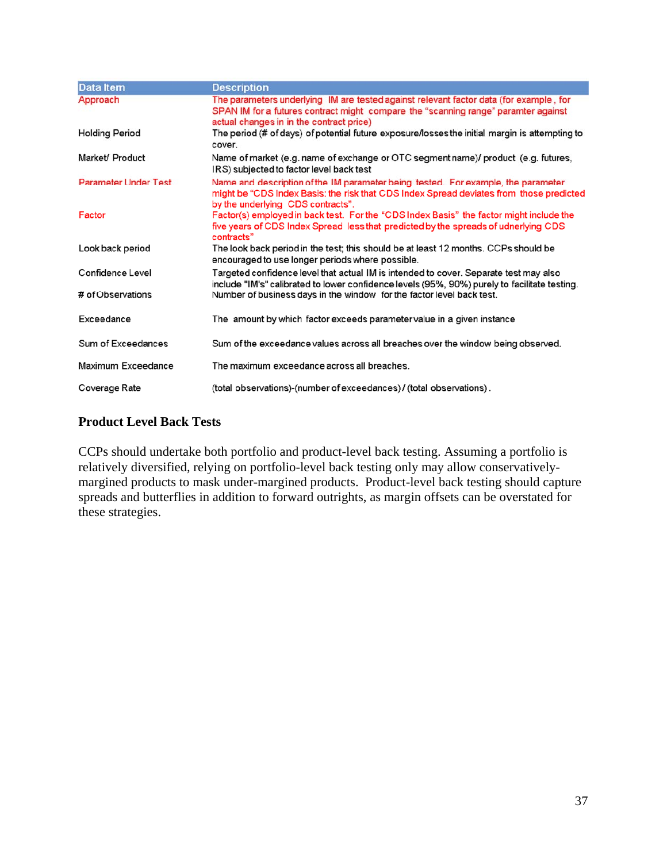| <b>Data Item</b>            | <b>Description</b>                                                                                                                                                                                                       |
|-----------------------------|--------------------------------------------------------------------------------------------------------------------------------------------------------------------------------------------------------------------------|
| Approach                    | The parameters underlying IM are tested against relevant factor data (for example, for<br>SPAN IM for a futures contract might compare the "scanning range" paramter against<br>actual changes in in the contract price) |
| <b>Holding Period</b>       | The period (# of days) of potential future exposure/losses the initial margin is attempting to<br>cover.                                                                                                                 |
| Market/ Product             | Name of market (e.g. name of exchange or OTC segment name)/ product (e.g. futures,<br>IRS) subjected to factor level back test                                                                                           |
| <b>Parameter Under Test</b> | Name and description of the IM parameter being tested. For example, the parameter<br>might be "CDS Index Basis: the risk that CDS Index Spread deviates from those predicted<br>by the underlying CDS contracts".        |
| Factor                      | Factor(s) employed in back test. For the "CDS Index Basis" the factor might include the<br>five years of CDS Index Spread less that predicted by the spreads of udnerlying CDS<br>contracts"                             |
| Look back period            | The look back period in the test; this should be at least 12 months. CCPs should be<br>encouraged to use longer periods where possible.                                                                                  |
| Confidence Level            | Targeted confidence level that actual IM is intended to cover. Separate test may also<br>include "IM's" calibrated to lower confidence levels (95%, 90%) purely to facilitate testing.                                   |
| # of Observations           | Number of business days in the window for the factor level back test.                                                                                                                                                    |
| Exceedance                  | The amount by which factor exceeds parameter value in a given instance                                                                                                                                                   |
| Sum of Exceedances          | Sum of the exceedance values across all breaches over the window being observed.                                                                                                                                         |
| Maximum Exceedance          | The maximum exceedance across all breaches.                                                                                                                                                                              |
| Coverage Rate               | (total observations)-(number of exceedances) / (total observations) .                                                                                                                                                    |

### **Product Level Back Tests**

CCPs should undertake both portfolio and product-level back testing. Assuming a portfolio is relatively diversified, relying on portfolio-level back testing only may allow conservativelymargined products to mask under-margined products. Product-level back testing should capture spreads and butterflies in addition to forward outrights, as margin offsets can be overstated for these strategies.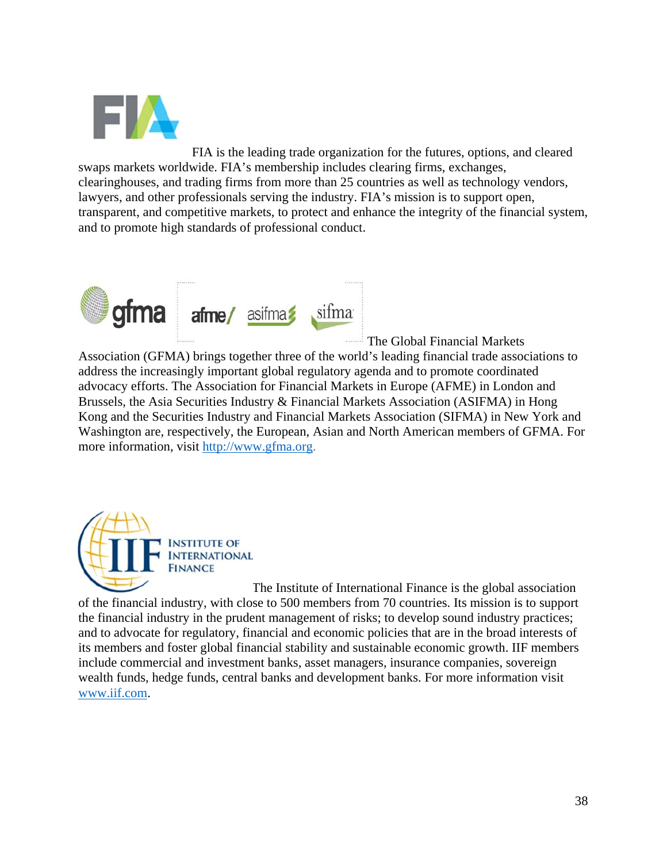

FIA is the leading trade organization for the futures, options, and cleared swaps markets worldwide. FIA's membership includes clearing firms, exchanges, clearinghouses, and trading firms from more than 25 countries as well as technology vendors, lawyers, and other professionals serving the industry. FIA's mission is to support open, transparent, and competitive markets, to protect and enhance the integrity of the financial system, and to promote high standards of professional conduct.



The Global Financial Markets

Association (GFMA) brings together three of the world's leading financial trade associations to address the increasingly important global regulatory agenda and to promote coordinated advocacy efforts. The Association for Financial Markets in Europe (AFME) in London and Brussels, the Asia Securities Industry & Financial Markets Association (ASIFMA) in Hong Kong and the Securities Industry and Financial Markets Association (SIFMA) in New York and Washington are, respectively, the European, Asian and North American members of GFMA. For more information, visit http://www.gfma.org.



The Institute of International Finance is the global association of the financial industry, with close to 500 members from 70 countries. Its mission is to support the financial industry in the prudent management of risks; to develop sound industry practices; and to advocate for regulatory, financial and economic policies that are in the broad interests of its members and foster global financial stability and sustainable economic growth. IIF members include commercial and investment banks, asset managers, insurance companies, sovereign wealth funds, hedge funds, central banks and development banks. For more information visit www.iif.com.